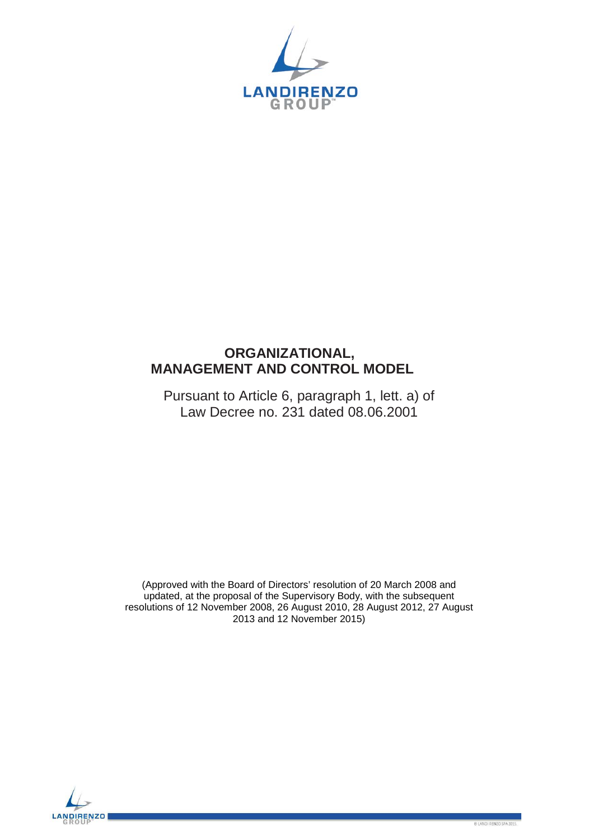

# **ORGANIZATIONAL, MANAGEMENT AND CONTROL MODEL**

Pursuant to Article 6, paragraph 1, lett. a) of Law Decree no. 231 dated 08.06.2001

(Approved with the Board of Directors' resolution of 20 March 2008 and updated, at the proposal of the Supervisory Body, with the subsequent resolutions of 12 November 2008, 26 August 2010, 28 August 2012, 27 August 2013 and 12 November 2015)

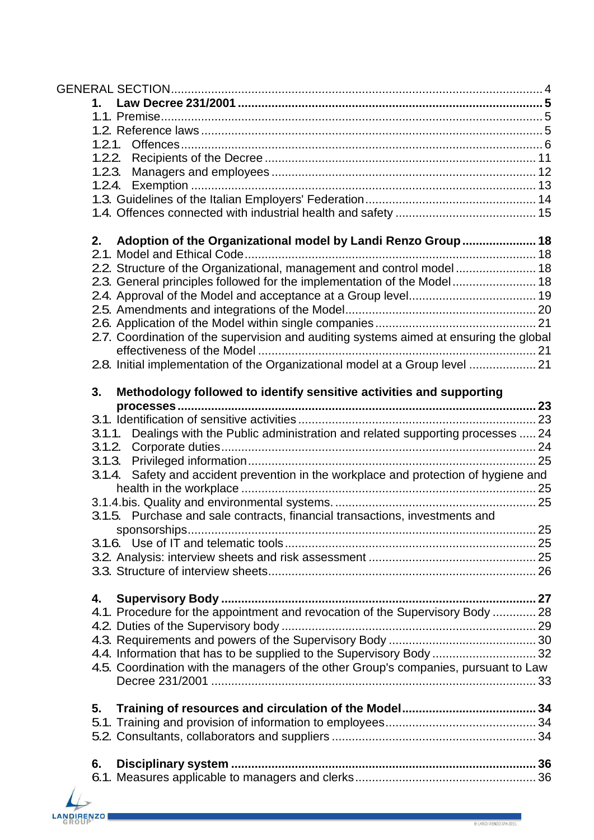| Adoption of the Organizational model by Landi Renzo Group  18<br>2.                    |  |
|----------------------------------------------------------------------------------------|--|
|                                                                                        |  |
| 2.2. Structure of the Organizational, management and control model 18                  |  |
| 2.3. General principles followed for the implementation of the Model 18                |  |
|                                                                                        |  |
|                                                                                        |  |
|                                                                                        |  |
| 2.7. Coordination of the supervision and auditing systems aimed at ensuring the global |  |
| 2.8. Initial implementation of the Organizational model at a Group level  21           |  |
| Methodology followed to identify sensitive activities and supporting<br>3.             |  |
|                                                                                        |  |
|                                                                                        |  |
| 3.1.1. Dealings with the Public administration and related supporting processes  24    |  |
|                                                                                        |  |
|                                                                                        |  |
| 3.1.4. Safety and accident prevention in the workplace and protection of hygiene and   |  |
|                                                                                        |  |
| 3.1.5. Purchase and sale contracts, financial transactions, investments and            |  |
|                                                                                        |  |
|                                                                                        |  |
|                                                                                        |  |
|                                                                                        |  |
| 4.                                                                                     |  |
| 4.1. Procedure for the appointment and revocation of the Supervisory Body  28          |  |
|                                                                                        |  |
|                                                                                        |  |
| 4.4. Information that has to be supplied to the Supervisory Body  32                   |  |
| 4.5. Coordination with the managers of the other Group's companies, pursuant to Law    |  |
|                                                                                        |  |
| 5.                                                                                     |  |
|                                                                                        |  |
|                                                                                        |  |
| 6.                                                                                     |  |
|                                                                                        |  |
|                                                                                        |  |

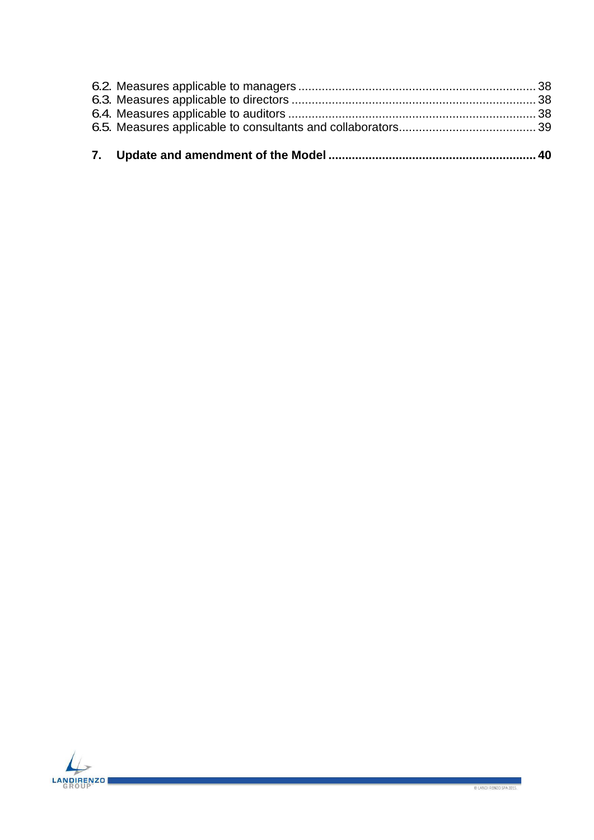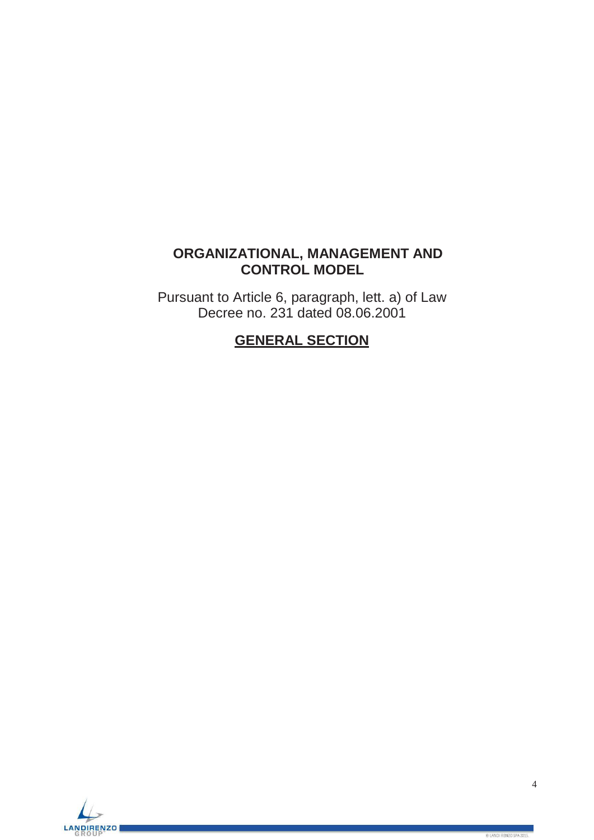# **ORGANIZATIONAL, MANAGEMENT AND CONTROL MODEL**

<span id="page-3-0"></span>Pursuant to Article 6, paragraph, lett. a) of Law Decree no. 231 dated 08.06.2001

# **GENERAL SECTION**

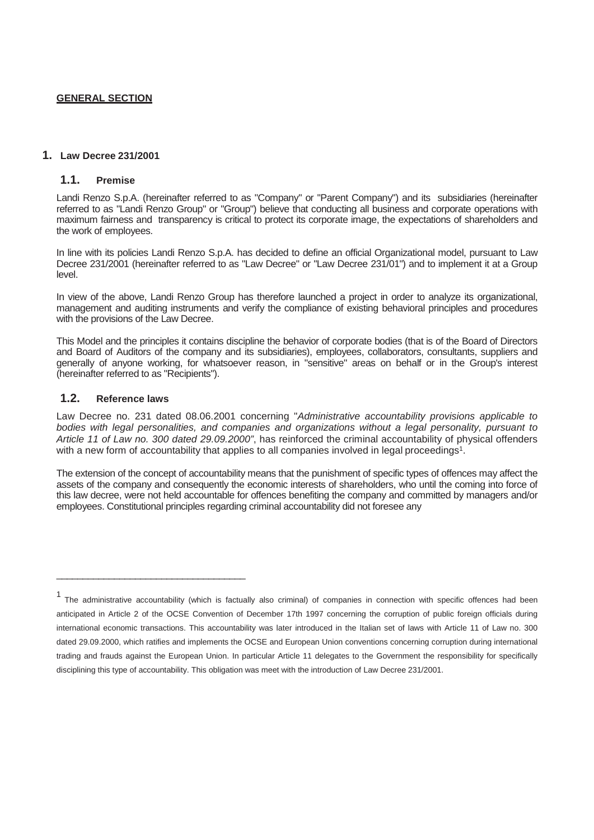## **GENERAL SECTION**

#### <span id="page-4-1"></span><span id="page-4-0"></span>**1. Law Decree 231/2001**

## **1.1. Premise**

Landi Renzo S.p.A. (hereinafter referred to as "Company" or "Parent Company") and its subsidiaries (hereinafter referred to as "Landi Renzo Group" or "Group") believe that conducting all business and corporate operations with maximum fairness and transparency is critical to protect its corporate image, the expectations of shareholders and the work of employees.

In line with its policies Landi Renzo S.p.A. has decided to define an official Organizational model, pursuant to Law Decree 231/2001 (hereinafter referred to as "Law Decree" or "Law Decree 231/01") and to implement it at a Group level.

In view of the above, Landi Renzo Group has therefore launched a project in order to analyze its organizational, management and auditing instruments and verify the compliance of existing behavioral principles and procedures with the provisions of the Law Decree.

This Model and the principles it contains discipline the behavior of corporate bodies (that is of the Board of Directors and Board of Auditors of the company and its subsidiaries), employees, collaborators, consultants, suppliers and generally of anyone working, for whatsoever reason, in "sensitive" areas on behalf or in the Group's interest (hereinafter referred to as "Recipients").

### <span id="page-4-2"></span>**1.2. Reference laws**

 $\overline{\phantom{a}}$  , and the set of the set of the set of the set of the set of the set of the set of the set of the set of the set of the set of the set of the set of the set of the set of the set of the set of the set of the s

Law Decree no. 231 dated 08.06.2001 concerning "*Administrative accountability provisions applicable to bodies with legal personalities, and companies and organizations without a legal personality, pursuant to Article 11 of Law no. 300 dated 29.09.2000"*, has reinforced the criminal accountability of physical offenders with a new form of accountability that applies to all companies involved in legal proceedings<sup>1</sup>.

The extension of the concept of accountability means that the punishment of specific types of offences may affect the assets of the company and consequently the economic interests of shareholders, who until the coming into force of this law decree, were not held accountable for offences benefiting the company and committed by managers and/or employees. Constitutional principles regarding criminal accountability did not foresee any

<sup>&</sup>lt;sup>1</sup> The administrative accountability (which is factually also criminal) of companies in connection with specific offences had been anticipated in Article 2 of the OCSE Convention of December 17th 1997 concerning the corruption of public foreign officials during international economic transactions. This accountability was later introduced in the Italian set of laws with Article 11 of Law no. 300 dated 29.09.2000, which ratifies and implements the OCSE and European Union conventions concerning corruption during international trading and frauds against the European Union. In particular Article 11 delegates to the Government the responsibility for specifically disciplining this type of accountability. This obligation was meet with the introduction of Law Decree 231/2001.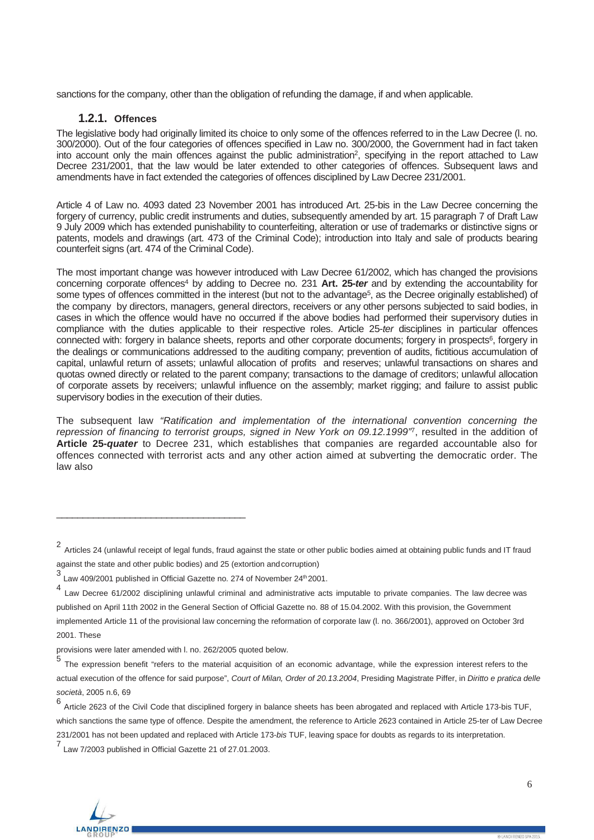<span id="page-5-0"></span>sanctions for the company, other than the obligation of refunding the damage, if and when applicable.

## **1.2.1. Offences**

The legislative body had originally limited its choice to only some of the offences referred to in the Law Decree (l. no. 300/2000). Out of the four categories of offences specified in Law no. 300/2000, the Government had in fact taken into account only the main offences against the public administration<sup>2</sup>, specifying in the report attached to Law Decree 231/2001, that the law would be later extended to other categories of offences. Subsequent laws and amendments have in fact extended the categories of offences disciplined by Law Decree 231/2001.

Article 4 of Law no. 4093 dated 23 November 2001 has introduced Art. 25-bis in the Law Decree concerning the forgery of currency, public credit instruments and duties, subsequently amended by art. 15 paragraph 7 of Draft Law 9 July 2009 which has extended punishability to counterfeiting, alteration or use of trademarks or distinctive signs or patents, models and drawings (art. 473 of the Criminal Code); introduction into Italy and sale of products bearing counterfeit signs (art. 474 of the Criminal Code).

The most important change was however introduced with Law Decree 61/2002, which has changed the provisions concerning corporate offences4 by adding to Decree no. 231 **Art. 25-***ter* and by extending the accountability for some types of offences committed in the interest (but not to the advantage<sup>5</sup>, as the Decree originally established) of the company by directors, managers, general directors, receivers or any other persons subjected to said bodies, in cases in which the offence would have no occurred if the above bodies had performed their supervisory duties in compliance with the duties applicable to their respective roles. Article 25-*ter* disciplines in particular offences connected with: forgery in balance sheets, reports and other corporate documents; forgery in prospects<sup>6</sup>, forgery in the dealings or communications addressed to the auditing company; prevention of audits, fictitious accumulation of capital, unlawful return of assets; unlawful allocation of profits and reserves; unlawful transactions on shares and quotas owned directly or related to the parent company; transactions to the damage of creditors; unlawful allocation of corporate assets by receivers; unlawful influence on the assembly; market rigging; and failure to assist public supervisory bodies in the execution of their duties.

The subsequent law *"Ratification and implementation of the international convention concerning the repression of financing to terrorist groups, signed in New York on 09.12.1999"*7, resulted in the addition of **Article 25-***quater* to Decree 231, which establishes that companies are regarded accountable also for offences connected with terrorist acts and any other action aimed at subverting the democratic order. The law also

\_\_\_\_\_\_\_\_\_\_\_\_\_\_\_\_\_\_\_\_\_\_\_\_\_\_\_\_\_\_\_\_\_\_\_\_

<sup>7</sup> Law 7/2003 published in Official Gazette 21 of 27.01.2003.



<sup>2</sup> Articles 24 (unlawful receipt of legal funds, fraud against the state or other public bodies aimed at obtaining public funds and IT fraud against the state and other public bodies) and 25 (extortion andcorruption)

 $3$  Law 409/2001 published in Official Gazette no. 274 of November 24<sup>th</sup> 2001.

<sup>&</sup>lt;sup>4</sup> Law Decree 61/2002 disciplining unlawful criminal and administrative acts imputable to private companies. The law decree was published on April 11th 2002 in the General Section of Official Gazette no. 88 of 15.04.2002. With this provision, the Government implemented Article 11 of the provisional law concerning the reformation of corporate law (l. no. 366/2001), approved on October 3rd 2001. These

provisions were later amended with l. no. 262/2005 quoted below.

The expression benefit "refers to the material acquisition of an economic advantage, while the expression interest refers to the actual execution of the offence for said purpose", *Court of Milan, Order of 20.13.2004*, Presiding Magistrate Piffer, in *Diritto e pratica delle società*, 2005 n.6, 69

<sup>6</sup> Article <sup>2623</sup> of the Civil Code that disciplined forgery in balance sheets has been abrogated and replaced with Article 173-bis TUF, which sanctions the same type of offence. Despite the amendment, the reference to Article 2623 contained in Article 25-ter of Law Decree 231/2001 has not been updated and replaced with Article 173-*bis* TUF, leaving space for doubts as regards to its interpretation.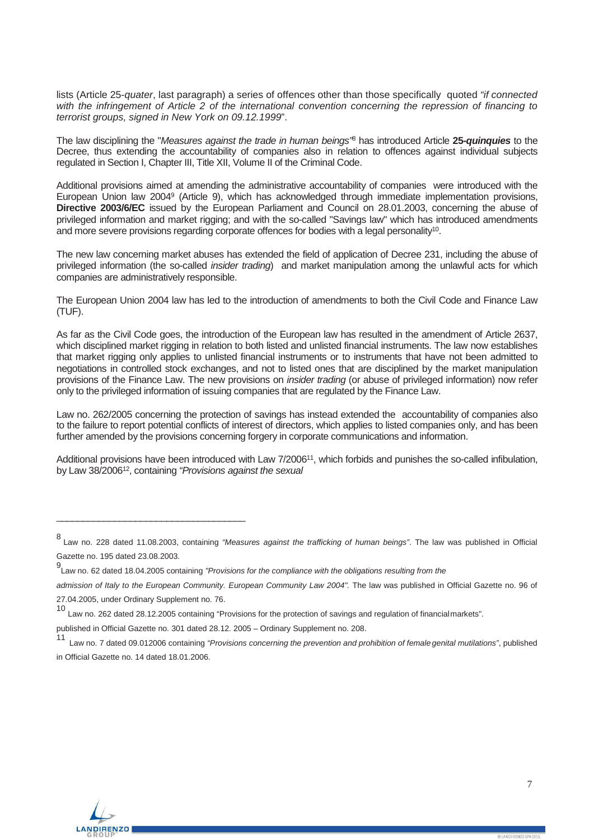lists (Article 25-*quater*, last paragraph) a series of offences other than those specifically quoted *"if connected with the infringement of Article 2 of the international convention concerning the repression of financing to terrorist groups, signed in New York on 09.12.1999*".

The law disciplining the "*Measures against the trade in human beings"*<sup>8</sup> has introduced Article **25-***quinquies* to the Decree, thus extending the accountability of companies also in relation to offences against individual subjects regulated in Section I, Chapter III, Title XII, Volume II of the Criminal Code.

Additional provisions aimed at amending the administrative accountability of companies were introduced with the European Union law 20049 (Article 9), which has acknowledged through immediate implementation provisions, **Directive 2003/6/EC** issued by the European Parliament and Council on 28.01.2003, concerning the abuse of privileged information and market rigging; and with the so-called "Savings law" which has introduced amendments and more severe provisions regarding corporate offences for bodies with a legal personality<sup>10</sup>.

The new law concerning market abuses has extended the field of application of Decree 231, including the abuse of privileged information (the so-called *insider trading*) and market manipulation among the unlawful acts for which companies are administratively responsible.

The European Union 2004 law has led to the introduction of amendments to both the Civil Code and Finance Law (TUF).

As far as the Civil Code goes, the introduction of the European law has resulted in the amendment of Article 2637, which disciplined market rigging in relation to both listed and unlisted financial instruments. The law now establishes that market rigging only applies to unlisted financial instruments or to instruments that have not been admitted to negotiations in controlled stock exchanges, and not to listed ones that are disciplined by the market manipulation provisions of the Finance Law. The new provisions on *insider trading* (or abuse of privileged information) now refer only to the privileged information of issuing companies that are regulated by the Finance Law.

Law no. 262/2005 concerning the protection of savings has instead extended the accountability of companies also to the failure to report potential conflicts of interest of directors, which applies to listed companies only, and has been further amended by the provisions concerning forgery in corporate communications and information.

Additional provisions have been introduced with Law 7/2006<sup>11</sup>, which forbids and punishes the so-called infibulation, by Law 38/200612, containing *"Provisions against the sexual*

 $\overline{\phantom{a}}$  , and the set of the set of the set of the set of the set of the set of the set of the set of the set of the set of the set of the set of the set of the set of the set of the set of the set of the set of the s



<sup>8</sup> Law no. 228 dated 11.08.2003, containing *"Measures against the trafficking of human beings"*. The law was published in Official Gazette no. 195 dated 23.08.2003.

<sup>9</sup> Law no. 62 dated 18.04.2005 containing *"Provisions for the compliance with the obligations resulting from the*

admission of Italy to the European Community. European Community Law 2004". The law was published in Official Gazette no. 96 of 27.04.2005, under Ordinary Supplement no. 76.

<sup>10</sup> Law no. 262 dated 28.12.2005 containing "Provisions for the protection of savings and regulation of financialmarkets".

published in Official Gazette no. 301 dated 28.12. 2005 – Ordinary Supplement no. 208.

<sup>11</sup> Law no. 7 dated 09.012006 containing *"Provisions concerning the prevention and prohibition of female genital mutilations"*, published in Official Gazette no. 14 dated 18.01.2006.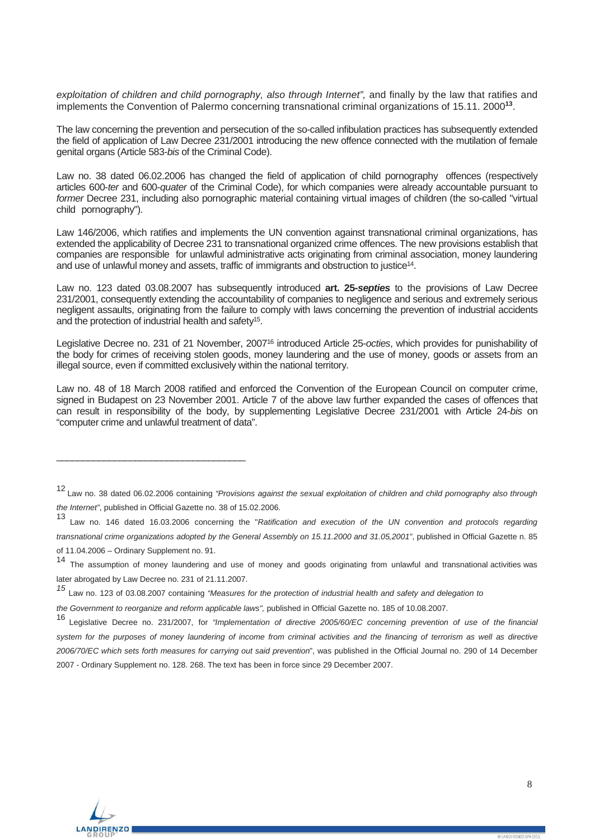exploitation of children and child pornography, also through Internet", and finally by the law that ratifies and implements the Convention of Palermo concerning transnational criminal organizations of 15.11. 2000**<sup>13</sup>**.

The law concerning the prevention and persecution of the so-called infibulation practices has subsequently extended the field of application of Law Decree 231/2001 introducing the new offence connected with the mutilation of female genital organs (Article 583-*bis* of the Criminal Code).

Law no. 38 dated 06.02.2006 has changed the field of application of child pornography offences (respectively articles 600-*ter* and 600-*quater* of the Criminal Code), for which companies were already accountable pursuant to *former* Decree 231, including also pornographic material containing virtual images of children (the so-called "virtual child pornography").

Law 146/2006, which ratifies and implements the UN convention against transnational criminal organizations, has extended the applicability of Decree 231 to transnational organized crime offences. The new provisions establish that companies are responsible for unlawful administrative acts originating from criminal association, money laundering and use of unlawful money and assets, traffic of immigrants and obstruction to justice14.

Law no. 123 dated 03.08.2007 has subsequently introduced **art. 25-***septies* to the provisions of Law Decree 231/2001, consequently extending the accountability of companies to negligence and serious and extremely serious negligent assaults, originating from the failure to comply with laws concerning the prevention of industrial accidents and the protection of industrial health and safety<sup>15</sup>.

Legislative Decree no. 231 of 21 November, 200716 introduced Article 25-*octies*, which provides for punishability of the body for crimes of receiving stolen goods, money laundering and the use of money, goods or assets from an illegal source, even if committed exclusively within the national territory.

Law no. 48 of 18 March 2008 ratified and enforced the Convention of the European Council on computer crime, signed in Budapest on 23 November 2001. Article 7 of the above law further expanded the cases of offences that can result in responsibility of the body, by supplementing Legislative Decree 231/2001 with Article 24-*bis* on "computer crime and unlawful treatment of data".

*the Government to reorganize and reform applicable laws", published in Official Gazette no. 185 of 10.08.2007.* 

<sup>16</sup> Legislative Decree no. 231/2007, for *"Implementation of directive 2005/60/EC concerning prevention of use of the financial system for the purposes of money laundering of income from criminal activities and the financing of terrorism as well as directive 2006/70/EC which sets forth measures for carrying out said prevention*", was published in the Official Journal no. 290 of 14 December 2007 - Ordinary Supplement no. 128. 268. The text has been in force since 29 December 2007.



 $\_$ 

<sup>12</sup> Law no. 38 dated 06.02.2006 containing *"Provisions against the sexual exploitation of children and child pornography also through the Internet"*, published in Official Gazette no. 38 of 15.02.2006.

<sup>13</sup> Law no. 146 dated 16.03.2006 concerning the "*Ratification and execution of the UN convention and protocols regarding transnational crime organizations adopted by the General Assembly on 15.11.2000 and 31.05,2001"*, published in Official Gazette n. 85 of 11.04.2006 – Ordinary Supplement no. 91.

<sup>14</sup> The assumption of money laundering and use of money and goods originating from unlawful and transnational activities was later abrogated by Law Decree no. 231 of 21.11.2007.

*<sup>15</sup>* Law no. <sup>123</sup> of 03.08.2007 containing *"Measures for the protection of industrial health and safety and delegation to*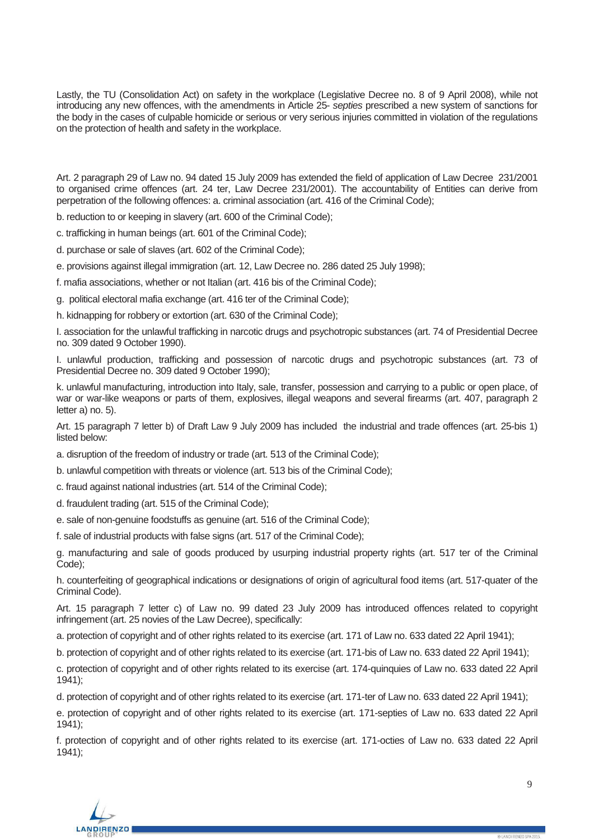Lastly, the TU (Consolidation Act) on safety in the workplace (Legislative Decree no. 8 of 9 April 2008), while not introducing any new offences, with the amendments in Article 25- *septies* prescribed a new system of sanctions for the body in the cases of culpable homicide or serious or very serious injuries committed in violation of the regulations on the protection of health and safety in the workplace.

Art. 2 paragraph 29 of Law no. 94 dated 15 July 2009 has extended the field of application of Law Decree 231/2001 to organised crime offences (art. 24 ter, Law Decree 231/2001). The accountability of Entities can derive from perpetration of the following offences: a. criminal association (art. 416 of the Criminal Code);

b. reduction to or keeping in slavery (art. 600 of the Criminal Code);

c. trafficking in human beings (art. 601 of the Criminal Code);

d. purchase or sale of slaves (art. 602 of the Criminal Code);

e. provisions against illegal immigration (art. 12, Law Decree no. 286 dated 25 July 1998);

f. mafia associations, whether or not Italian (art. 416 bis of the Criminal Code);

g. political electoral mafia exchange (art. 416 ter of the Criminal Code);

h. kidnapping for robbery or extortion (art. 630 of the Criminal Code);

I. association for the unlawful trafficking in narcotic drugs and psychotropic substances (art. 74 of Presidential Decree no. 309 dated 9 October 1990).

I. unlawful production, trafficking and possession of narcotic drugs and psychotropic substances (art. 73 of Presidential Decree no. 309 dated 9 October 1990);

k. unlawful manufacturing, introduction into Italy, sale, transfer, possession and carrying to a public or open place, of war or war-like weapons or parts of them, explosives, illegal weapons and several firearms (art. 407, paragraph 2 letter a) no. 5).

Art. 15 paragraph 7 letter b) of Draft Law 9 July 2009 has included the industrial and trade offences (art. 25-bis 1) listed below:

a. disruption of the freedom of industry or trade (art. 513 of the Criminal Code);

b. unlawful competition with threats or violence (art. 513 bis of the Criminal Code);

c. fraud against national industries (art. 514 of the Criminal Code);

d. fraudulent trading (art. 515 of the Criminal Code);

e. sale of non-genuine foodstuffs as genuine (art. 516 of the Criminal Code);

f. sale of industrial products with false signs (art. 517 of the Criminal Code);

g. manufacturing and sale of goods produced by usurping industrial property rights (art. 517 ter of the Criminal Code);

h. counterfeiting of geographical indications or designations of origin of agricultural food items (art. 517-quater of the Criminal Code).

Art. 15 paragraph 7 letter c) of Law no. 99 dated 23 July 2009 has introduced offences related to copyright infringement (art. 25 novies of the Law Decree), specifically:

a. protection of copyright and of other rights related to its exercise (art. 171 of Law no. 633 dated 22 April 1941);

b. protection of copyright and of other rights related to its exercise (art. 171-bis of Law no. 633 dated 22 April 1941);

c. protection of copyright and of other rights related to its exercise (art. 174-quinquies of Law no. 633 dated 22 April 1941);

d. protection of copyright and of other rights related to its exercise (art. 171-ter of Law no. 633 dated 22 April 1941);

e. protection of copyright and of other rights related to its exercise (art. 171-septies of Law no. 633 dated 22 April 1941);

f. protection of copyright and of other rights related to its exercise (art. 171-octies of Law no. 633 dated 22 April 1941);

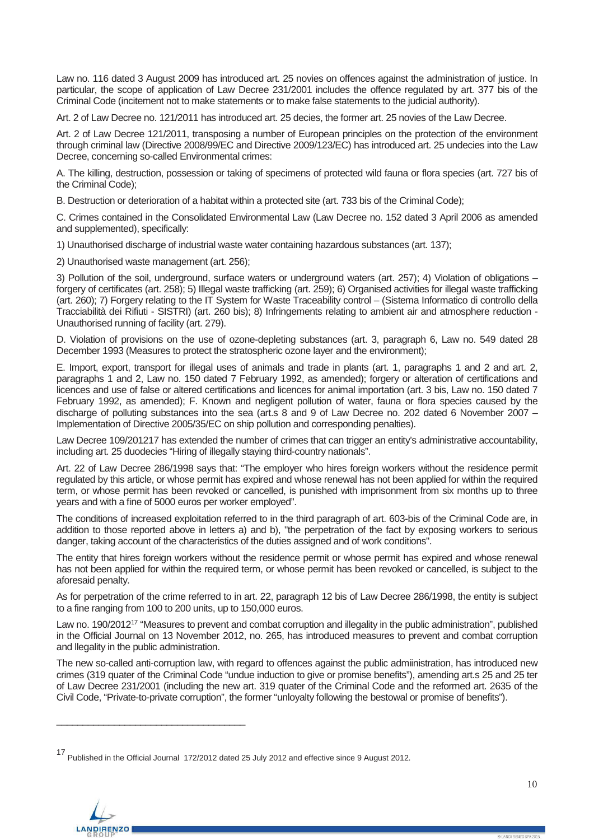Law no. 116 dated 3 August 2009 has introduced art. 25 novies on offences against the administration of justice. In particular, the scope of application of Law Decree 231/2001 includes the offence regulated by art. 377 bis of the Criminal Code (incitement not to make statements or to make false statements to the judicial authority).

Art. 2 of Law Decree no. 121/2011 has introduced art. 25 decies, the former art. 25 novies of the Law Decree.

Art. 2 of Law Decree 121/2011, transposing a number of European principles on the protection of the environment through criminal law (Directive 2008/99/EC and Directive 2009/123/EC) has introduced art. 25 undecies into the Law Decree, concerning so-called Environmental crimes:

A. The killing, destruction, possession or taking of specimens of protected wild fauna or flora species (art. 727 bis of the Criminal Code);

B. Destruction or deterioration of a habitat within a protected site (art. 733 bis of the Criminal Code);

C. Crimes contained in the Consolidated Environmental Law (Law Decree no. 152 dated 3 April 2006 as amended and supplemented), specifically:

1) Unauthorised discharge of industrial waste water containing hazardous substances (art. 137);

2) Unauthorised waste management (art. 256);

3) Pollution of the soil, underground, surface waters or underground waters (art. 257); 4) Violation of obligations – forgery of certificates (art. 258); 5) Illegal waste trafficking (art. 259); 6) Organised activities for illegal waste trafficking (art. 260); 7) Forgery relating to the IT System for Waste Traceability control – (Sistema Informatico di controllo della Tracciabilità dei Rifiuti - SISTRI) (art. 260 bis); 8) Infringements relating to ambient air and atmosphere reduction - Unauthorised running of facility (art. 279).

D. Violation of provisions on the use of ozone-depleting substances (art. 3, paragraph 6, Law no. 549 dated 28 December 1993 (Measures to protect the stratospheric ozone layer and the environment);

E. Import, export, transport for illegal uses of animals and trade in plants (art. 1, paragraphs 1 and 2 and art. 2, paragraphs 1 and 2, Law no. 150 dated 7 February 1992, as amended); forgery or alteration of certifications and licences and use of false or altered certifications and licences for animal importation (art. 3 bis, Law no. 150 dated 7 February 1992, as amended); F. Known and negligent pollution of water, fauna or flora species caused by the discharge of polluting substances into the sea (art.s 8 and 9 of Law Decree no. 202 dated 6 November 2007 – Implementation of Directive 2005/35/EC on ship pollution and corresponding penalties).

Law Decree 109/201217 has extended the number of crimes that can trigger an entity's administrative accountability, including art. 25 duodecies "Hiring of illegally staying third-country nationals".

Art. 22 of Law Decree 286/1998 says that: "The employer who hires foreign workers without the residence permit regulated by this article, or whose permit has expired and whose renewal has not been applied for within the required term, or whose permit has been revoked or cancelled, is punished with imprisonment from six months up to three years and with a fine of 5000 euros per worker employed".

The conditions of increased exploitation referred to in the third paragraph of art. 603-bis of the Criminal Code are, in addition to those reported above in letters a) and b), "the perpetration of the fact by exposing workers to serious danger, taking account of the characteristics of the duties assigned and of work conditions".

The entity that hires foreign workers without the residence permit or whose permit has expired and whose renewal has not been applied for within the required term, or whose permit has been revoked or cancelled, is subject to the aforesaid penalty.

As for perpetration of the crime referred to in art. 22, paragraph 12 bis of Law Decree 286/1998, the entity is subject to a fine ranging from 100 to 200 units, up to 150,000 euros.

Law no. 190/201217 "Measures to prevent and combat corruption and illegality in the public administration", published in the Official Journal on 13 November 2012, no. 265, has introduced measures to prevent and combat corruption and llegality in the public administration.

The new so-called anti-corruption law, with regard to offences against the public admiinistration, has introduced new crimes (319 quater of the Criminal Code "undue induction to give or promise benefits"), amending art.s 25 and 25 ter of Law Decree 231/2001 (including the new art. 319 quater of the Criminal Code and the reformed art. 2635 of the Civil Code, "Private-to-private corruption", the former "unloyalty following the bestowal or promise of benefits").

<sup>17</sup> Published in the Official Journal 172/2012 dated 25 July 2012 and effective since 9 August 2012.



\_\_\_\_\_\_\_\_\_\_\_\_\_\_\_\_\_\_\_\_\_\_\_\_\_\_\_\_\_\_\_\_\_\_\_\_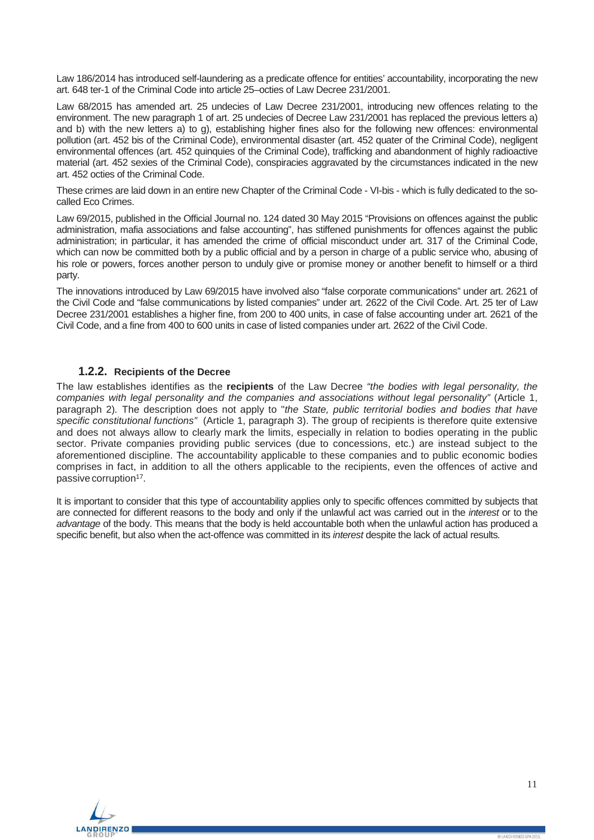Law 186/2014 has introduced self-laundering as a predicate offence for entities' accountability, incorporating the new art. 648 ter-1 of the Criminal Code into article 25–octies of Law Decree 231/2001.

Law 68/2015 has amended art. 25 undecies of Law Decree 231/2001, introducing new offences relating to the environment. The new paragraph 1 of art. 25 undecies of Decree Law 231/2001 has replaced the previous letters a) and b) with the new letters a) to g), establishing higher fines also for the following new offences: environmental pollution (art. 452 bis of the Criminal Code), environmental disaster (art. 452 quater of the Criminal Code), negligent environmental offences (art. 452 quinquies of the Criminal Code), trafficking and abandonment of highly radioactive material (art. 452 sexies of the Criminal Code), conspiracies aggravated by the circumstances indicated in the new art. 452 octies of the Criminal Code.

These crimes are laid down in an entire new Chapter of the Criminal Code - VI-bis - which is fully dedicated to the socalled Eco Crimes.

Law 69/2015, published in the Official Journal no. 124 dated 30 May 2015 "Provisions on offences against the public administration, mafia associations and false accounting", has stiffened punishments for offences against the public administration; in particular, it has amended the crime of official misconduct under art. 317 of the Criminal Code, which can now be committed both by a public official and by a person in charge of a public service who, abusing of his role or powers, forces another person to unduly give or promise money or another benefit to himself or a third party.

The innovations introduced by Law 69/2015 have involved also "false corporate communications" under art. 2621 of the Civil Code and "false communications by listed companies" under art. 2622 of the Civil Code. Art. 25 ter of Law Decree 231/2001 establishes a higher fine, from 200 to 400 units, in case of false accounting under art. 2621 of the Civil Code, and a fine from 400 to 600 units in case of listed companies under art. 2622 of the Civil Code.

### **1.2.2. Recipients of the Decree**

<span id="page-10-0"></span>The law establishes identifies as the **recipients** of the Law Decree *"the bodies with legal personality, the companies with legal personality and the companies and associations without legal personality"* (Article 1, paragraph 2)*.* The description does not apply to "*the State, public territorial bodies and bodies that have specific constitutional functions"* (Article 1, paragraph 3). The group of recipients is therefore quite extensive and does not always allow to clearly mark the limits, especially in relation to bodies operating in the public sector. Private companies providing public services (due to concessions, etc.) are instead subject to the aforementioned discipline. The accountability applicable to these companies and to public economic bodies comprises in fact, in addition to all the others applicable to the recipients, even the offences of active and passive corruption<sup>17</sup>.

It is important to consider that this type of accountability applies only to specific offences committed by subjects that are connected for different reasons to the body and only if the unlawful act was carried out in the *interest* or to the *advantage* of the body. This means that the body is held accountable both when the unlawful action has produced a specific benefit, but also when the act-offence was committed in its *interest* despite the lack of actual results*.*

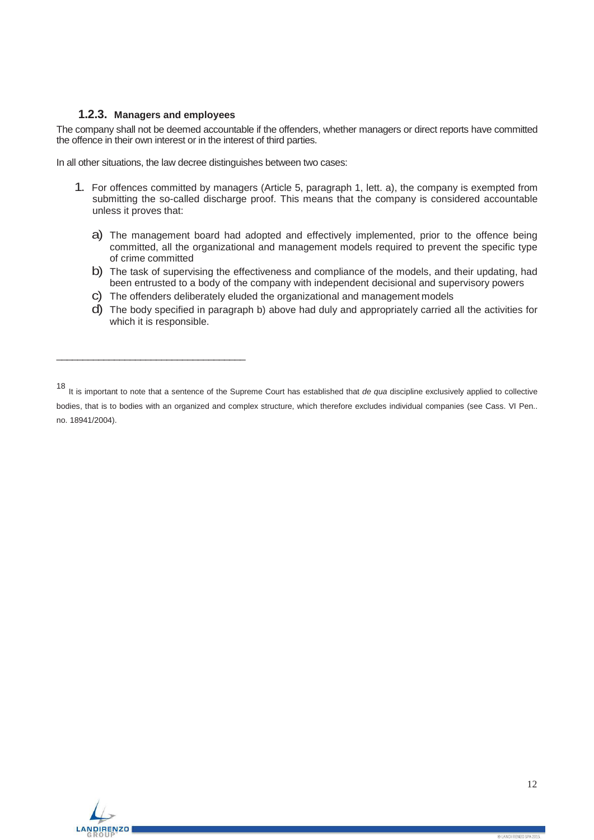## **1.2.3. Managers and employees**

\_\_\_\_\_\_\_\_\_\_\_\_\_\_\_\_\_\_\_\_\_\_\_\_\_\_\_\_\_\_\_\_\_\_\_\_

<span id="page-11-0"></span>The company shall not be deemed accountable if the offenders, whether managers or direct reports have committed the offence in their own interest or in the interest of third parties.

In all other situations, the law decree distinguishes between two cases:

- 1. For offences committed by managers (Article 5, paragraph 1, lett. a), the company is exempted from submitting the so-called discharge proof. This means that the company is considered accountable unless it proves that:
	- a) The management board had adopted and effectively implemented, prior to the offence being committed, all the organizational and management models required to prevent the specific type of crime committed
	- b) The task of supervising the effectiveness and compliance of the models, and their updating, had been entrusted to a body of the company with independent decisional and supervisory powers
	- c) The offenders deliberately eluded the organizational and management models
	- d) The body specified in paragraph b) above had duly and appropriately carried all the activities for which it is responsible.



<sup>18</sup> It is important to note that a sentence of the Supreme Court has established that *de qua* discipline exclusively applied to collective bodies, that is to bodies with an organized and complex structure, which therefore excludes individual companies (see Cass. VI Pen.. no. 18941/2004).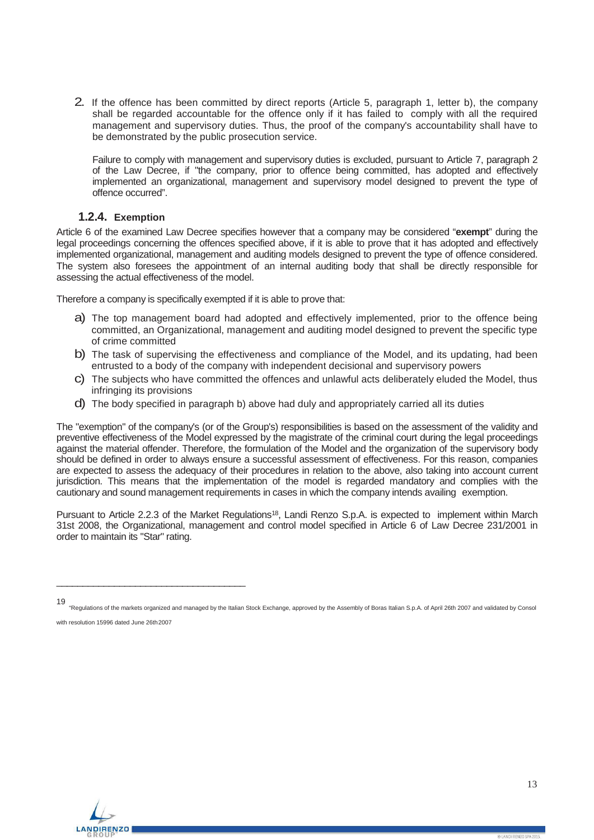2. If the offence has been committed by direct reports (Article 5, paragraph 1, letter b), the company shall be regarded accountable for the offence only if it has failed to comply with all the required management and supervisory duties. Thus, the proof of the company's accountability shall have to be demonstrated by the public prosecution service.

Failure to comply with management and supervisory duties is excluded, pursuant to Article 7, paragraph 2 of the Law Decree, if "the company, prior to offence being committed, has adopted and effectively implemented an organizational, management and supervisory model designed to prevent the type of offence occurred".

# **1.2.4. Exemption**

<span id="page-12-0"></span>Article 6 of the examined Law Decree specifies however that a company may be considered "**exempt**" during the legal proceedings concerning the offences specified above, if it is able to prove that it has adopted and effectively implemented organizational, management and auditing models designed to prevent the type of offence considered. The system also foresees the appointment of an internal auditing body that shall be directly responsible for assessing the actual effectiveness of the model.

Therefore a company is specifically exempted if it is able to prove that:

- a) The top management board had adopted and effectively implemented, prior to the offence being committed, an Organizational, management and auditing model designed to prevent the specific type of crime committed
- b) The task of supervising the effectiveness and compliance of the Model, and its updating, had been entrusted to a body of the company with independent decisional and supervisory powers
- c) The subjects who have committed the offences and unlawful acts deliberately eluded the Model, thus infringing its provisions
- d) The body specified in paragraph b) above had duly and appropriately carried all its duties

The "exemption" of the company's (or of the Group's) responsibilities is based on the assessment of the validity and preventive effectiveness of the Model expressed by the magistrate of the criminal court during the legal proceedings against the material offender. Therefore, the formulation of the Model and the organization of the supervisory body should be defined in order to always ensure a successful assessment of effectiveness. For this reason, companies are expected to assess the adequacy of their procedures in relation to the above, also taking into account current jurisdiction. This means that the implementation of the model is regarded mandatory and complies with the cautionary and sound management requirements in cases in which the company intends availing exemption.

Pursuant to Article 2.2.3 of the Market Regulations<sup>18</sup>, Landi Renzo S.p.A. is expected to implement within March 31st 2008, the Organizational, management and control model specified in Article 6 of Law Decree 231/2001 in order to maintain its "Star" rating.



\_\_\_\_\_\_\_\_\_\_\_\_\_\_\_\_\_\_\_\_\_\_\_\_\_\_\_\_\_\_\_\_\_\_\_\_

<sup>19</sup> "Regulations of the markets organized and managed by the Italian Stock Exchange, approved by the Assembly of Boras Italian S.p.A. of April 26th 2007 and validated by Consol with resolution 15996 dated June 26th2007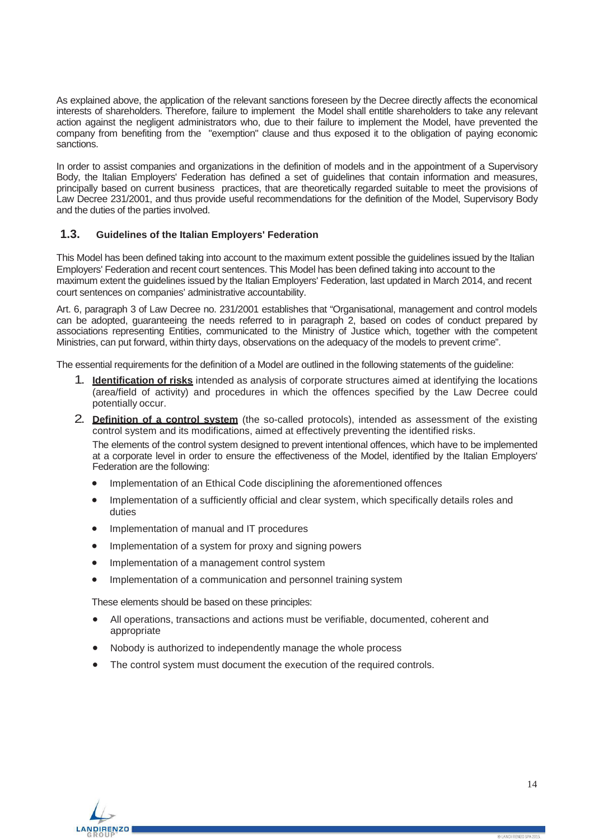As explained above, the application of the relevant sanctions foreseen by the Decree directly affects the economical interests of shareholders. Therefore, failure to implement the Model shall entitle shareholders to take any relevant action against the negligent administrators who, due to their failure to implement the Model, have prevented the company from benefiting from the "exemption" clause and thus exposed it to the obligation of paying economic sanctions.

In order to assist companies and organizations in the definition of models and in the appointment of a Supervisory Body, the Italian Employers' Federation has defined a set of guidelines that contain information and measures, principally based on current business practices, that are theoretically regarded suitable to meet the provisions of Law Decree 231/2001, and thus provide useful recommendations for the definition of the Model, Supervisory Body and the duties of the parties involved.

## <span id="page-13-0"></span>**1.3. Guidelines of the Italian Employers' Federation**

This Model has been defined taking into account to the maximum extent possible the guidelines issued by the Italian Employers' Federation and recent court sentences. This Model has been defined taking into account to the maximum extent the guidelines issued by the Italian Employers' Federation, last updated in March 2014, and recent court sentences on companies' administrative accountability.

Art. 6, paragraph 3 of Law Decree no. 231/2001 establishes that "Organisational, management and control models can be adopted, guaranteeing the needs referred to in paragraph 2, based on codes of conduct prepared by associations representing Entities, communicated to the Ministry of Justice which, together with the competent Ministries, can put forward, within thirty days, observations on the adequacy of the models to prevent crime".

The essential requirements for the definition of a Model are outlined in the following statements of the guideline:

- 1. **Identification of risks** intended as analysis of corporate structures aimed at identifying the locations (area/field of activity) and procedures in which the offences specified by the Law Decree could potentially occur.
- 2. **Definition of a control system** (the so-called protocols), intended as assessment of the existing control system and its modifications, aimed at effectively preventing the identified risks. The elements of the control system designed to prevent intentional offences, which have to be implemented at a corporate level in order to ensure the effectiveness of the Model, identified by the Italian Employers' Federation are the following:
	- Implementation of an Ethical Code disciplining the aforementioned offences
	- Implementation of a sufficiently official and clear system, which specifically details roles and duties
	- Implementation of manual and IT procedures
	- Implementation of a system for proxy and signing powers
	- Implementation of a management control system
	- Implementation of a communication and personnel training system

These elements should be based on these principles:

- All operations, transactions and actions must be verifiable, documented, coherent and appropriate
- Nobody is authorized to independently manage the whole process
- The control system must document the execution of the required controls.

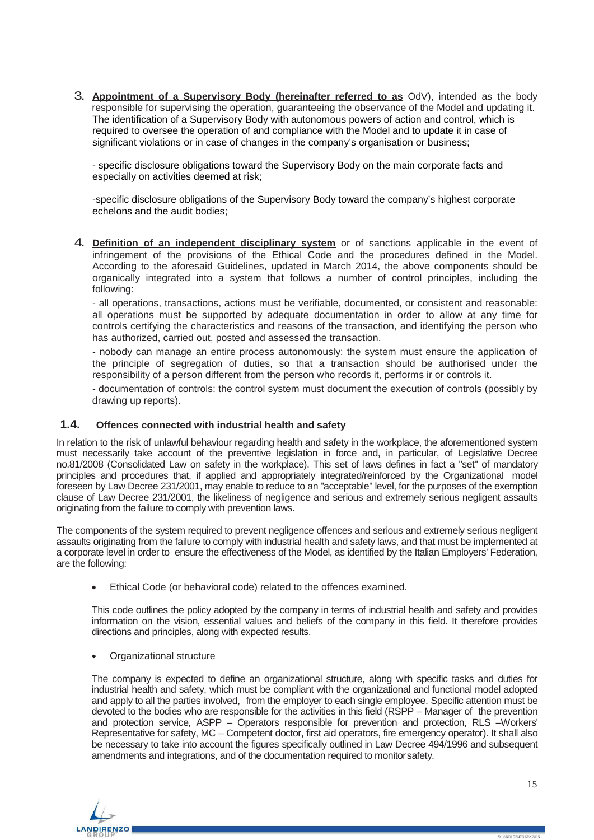3. **Appointment of a Supervisory Body (hereinafter referred to as** OdV), intended as the body responsible for supervising the operation, guaranteeing the observance of the Model and updating it. The identification of a Supervisory Body with autonomous powers of action and control, which is required to oversee the operation of and compliance with the Model and to update it in case of significant violations or in case of changes in the company's organisation or business;

- specific disclosure obligations toward the Supervisory Body on the main corporate facts and especially on activities deemed at risk;

-specific disclosure obligations of the Supervisory Body toward the company's highest corporate echelons and the audit bodies;

4. **Definition of an independent disciplinary system** or of sanctions applicable in the event of infringement of the provisions of the Ethical Code and the procedures defined in the Model. According to the aforesaid Guidelines, updated in March 2014, the above components should be organically integrated into a system that follows a number of control principles, including the following:

- all operations, transactions, actions must be verifiable, documented, or consistent and reasonable: all operations must be supported by adequate documentation in order to allow at any time for controls certifying the characteristics and reasons of the transaction, and identifying the person who has authorized, carried out, posted and assessed the transaction.

- nobody can manage an entire process autonomously: the system must ensure the application of the principle of segregation of duties, so that a transaction should be authorised under the responsibility of a person different from the person who records it, performs ir or controls it.

- documentation of controls: the control system must document the execution of controls (possibly by drawing up reports).

# <span id="page-14-0"></span>**1.4. Offences connected with industrial health and safety**

In relation to the risk of unlawful behaviour regarding health and safety in the workplace, the aforementioned system must necessarily take account of the preventive legislation in force and, in particular, of Legislative Decree no.81/2008 (Consolidated Law on safety in the workplace). This set of laws defines in fact a "set" of mandatory principles and procedures that, if applied and appropriately integrated/reinforced by the Organizational model foreseen by Law Decree 231/2001, may enable to reduce to an "acceptable" level, for the purposes of the exemption clause of Law Decree 231/2001, the likeliness of negligence and serious and extremely serious negligent assaults originating from the failure to comply with prevention laws.

The components of the system required to prevent negligence offences and serious and extremely serious negligent assaults originating from the failure to comply with industrial health and safety laws, and that must be implemented at a corporate level in order to ensure the effectiveness of the Model, as identified by the Italian Employers' Federation, are the following:

• Ethical Code (or behavioral code) related to the offences examined.

This code outlines the policy adopted by the company in terms of industrial health and safety and provides information on the vision, essential values and beliefs of the company in this field. It therefore provides directions and principles, along with expected results.

• Organizational structure

The company is expected to define an organizational structure, along with specific tasks and duties for industrial health and safety, which must be compliant with the organizational and functional model adopted and apply to all the parties involved, from the employer to each single employee. Specific attention must be devoted to the bodies who are responsible for the activities in this field (RSPP – Manager of the prevention and protection service, ASPP – Operators responsible for prevention and protection, RLS –Workers' Representative for safety, MC – Competent doctor, first aid operators, fire emergency operator). It shall also be necessary to take into account the figures specifically outlined in Law Decree 494/1996 and subsequent amendments and integrations, and of the documentation required to monitorsafety.

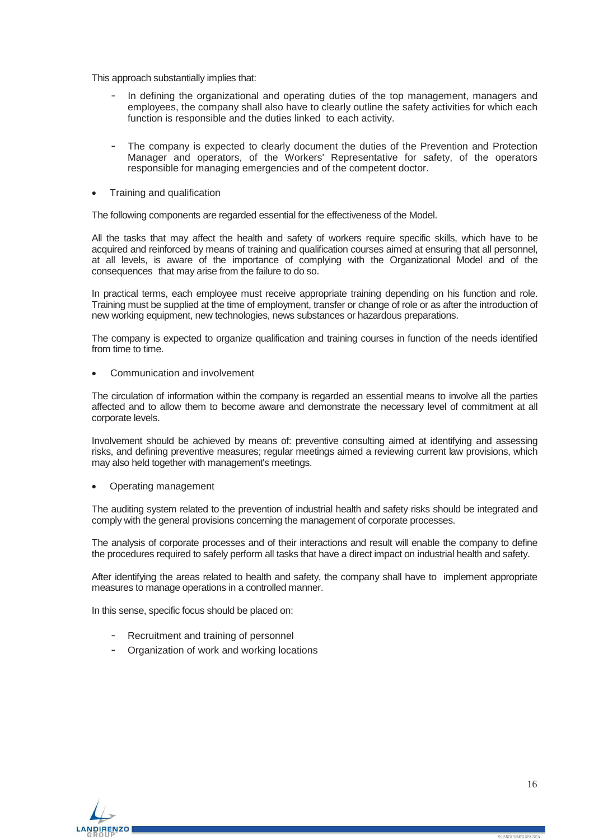This approach substantially implies that:

- In defining the organizational and operating duties of the top management, managers and employees, the company shall also have to clearly outline the safety activities for which each function is responsible and the duties linked to each activity.
- The company is expected to clearly document the duties of the Prevention and Protection Manager and operators, of the Workers' Representative for safety, of the operators responsible for managing emergencies and of the competent doctor.
- Training and qualification

The following components are regarded essential for the effectiveness of the Model.

All the tasks that may affect the health and safety of workers require specific skills, which have to be acquired and reinforced by means of training and qualification courses aimed at ensuring that all personnel, at all levels, is aware of the importance of complying with the Organizational Model and of the consequences that may arise from the failure to do so.

In practical terms, each employee must receive appropriate training depending on his function and role. Training must be supplied at the time of employment, transfer or change of role or as after the introduction of new working equipment, new technologies, news substances or hazardous preparations.

The company is expected to organize qualification and training courses in function of the needs identified from time to time.

• Communication and involvement

The circulation of information within the company is regarded an essential means to involve all the parties affected and to allow them to become aware and demonstrate the necessary level of commitment at all corporate levels.

Involvement should be achieved by means of: preventive consulting aimed at identifying and assessing risks, and defining preventive measures; regular meetings aimed a reviewing current law provisions, which may also held together with management's meetings.

• Operating management

The auditing system related to the prevention of industrial health and safety risks should be integrated and comply with the general provisions concerning the management of corporate processes.

The analysis of corporate processes and of their interactions and result will enable the company to define the procedures required to safely perform all tasks that have a direct impact on industrial health and safety.

After identifying the areas related to health and safety, the company shall have to implement appropriate measures to manage operations in a controlled manner.

In this sense, specific focus should be placed on:

- Recruitment and training of personnel
- Organization of work and working locations

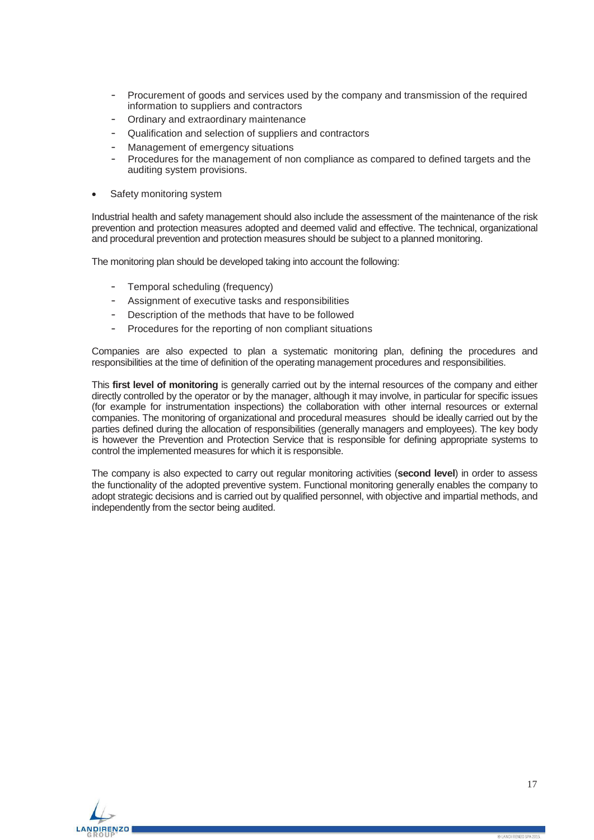- Procurement of goods and services used by the company and transmission of the required information to suppliers and contractors
- Ordinary and extraordinary maintenance
- Qualification and selection of suppliers and contractors
- Management of emergency situations
- Procedures for the management of non compliance as compared to defined targets and the auditing system provisions.
- Safety monitoring system

Industrial health and safety management should also include the assessment of the maintenance of the risk prevention and protection measures adopted and deemed valid and effective. The technical, organizational and procedural prevention and protection measures should be subject to a planned monitoring.

The monitoring plan should be developed taking into account the following:

- Temporal scheduling (frequency)
- Assignment of executive tasks and responsibilities
- Description of the methods that have to be followed
- Procedures for the reporting of non compliant situations

Companies are also expected to plan a systematic monitoring plan, defining the procedures and responsibilities at the time of definition of the operating management procedures and responsibilities.

This **first level of monitoring** is generally carried out by the internal resources of the company and either directly controlled by the operator or by the manager, although it may involve, in particular for specific issues (for example for instrumentation inspections) the collaboration with other internal resources or external companies. The monitoring of organizational and procedural measures should be ideally carried out by the parties defined during the allocation of responsibilities (generally managers and employees). The key body is however the Prevention and Protection Service that is responsible for defining appropriate systems to control the implemented measures for which it is responsible.

The company is also expected to carry out regular monitoring activities (**second level**) in order to assess the functionality of the adopted preventive system. Functional monitoring generally enables the company to adopt strategic decisions and is carried out by qualified personnel, with objective and impartial methods, and independently from the sector being audited.

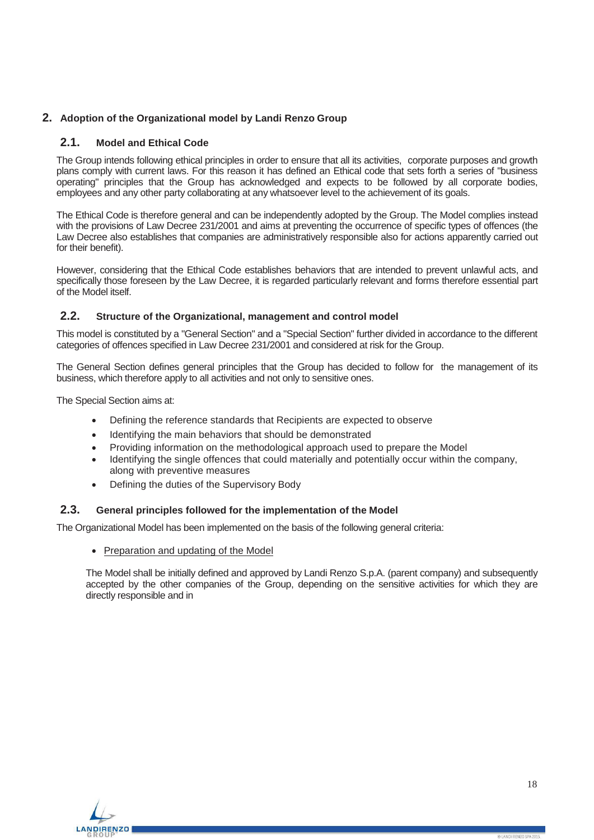# <span id="page-17-1"></span><span id="page-17-0"></span>**2. Adoption of the Organizational model by Landi Renzo Group**

# **2.1. Model and Ethical Code**

The Group intends following ethical principles in order to ensure that all its activities, corporate purposes and growth plans comply with current laws. For this reason it has defined an Ethical code that sets forth a series of "business operating" principles that the Group has acknowledged and expects to be followed by all corporate bodies, employees and any other party collaborating at any whatsoever level to the achievement of its goals.

The Ethical Code is therefore general and can be independently adopted by the Group. The Model complies instead with the provisions of Law Decree 231/2001 and aims at preventing the occurrence of specific types of offences (the Law Decree also establishes that companies are administratively responsible also for actions apparently carried out for their benefit).

However, considering that the Ethical Code establishes behaviors that are intended to prevent unlawful acts, and specifically those foreseen by the Law Decree, it is regarded particularly relevant and forms therefore essential part of the Model itself.

## <span id="page-17-2"></span>**2.2. Structure of the Organizational, management and control model**

This model is constituted by a "General Section" and a "Special Section" further divided in accordance to the different categories of offences specified in Law Decree 231/2001 and considered at risk for the Group.

The General Section defines general principles that the Group has decided to follow for the management of its business, which therefore apply to all activities and not only to sensitive ones.

The Special Section aims at:

- Defining the reference standards that Recipients are expected to observe
- Identifying the main behaviors that should be demonstrated
- Providing information on the methodological approach used to prepare the Model
- Identifying the single offences that could materially and potentially occur within the company, along with preventive measures
- Defining the duties of the Supervisory Body

# <span id="page-17-3"></span>**2.3. General principles followed for the implementation of the Model**

The Organizational Model has been implemented on the basis of the following general criteria:

• Preparation and updating of the Model

The Model shall be initially defined and approved by Landi Renzo S.p.A. (parent company) and subsequently accepted by the other companies of the Group, depending on the sensitive activities for which they are directly responsible and in

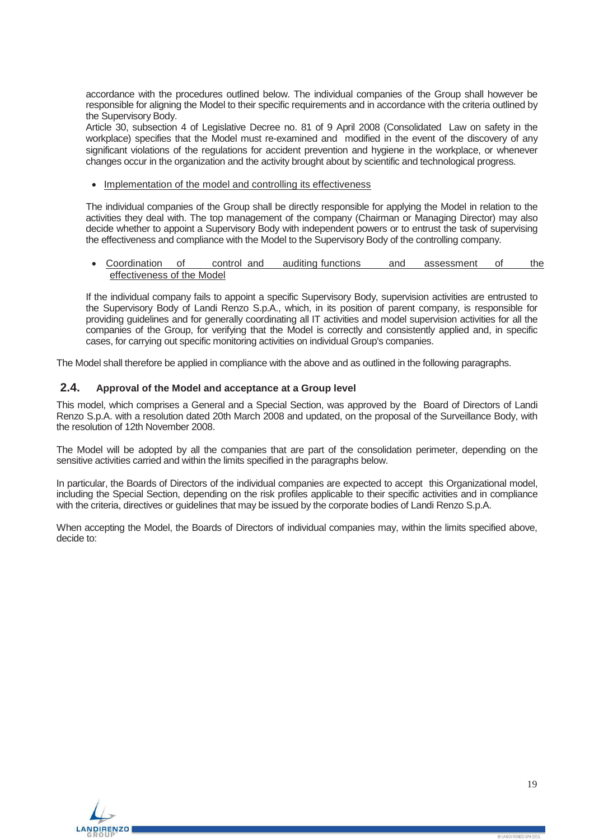accordance with the procedures outlined below. The individual companies of the Group shall however be responsible for aligning the Model to their specific requirements and in accordance with the criteria outlined by the Supervisory Body.

Article 30, subsection 4 of Legislative Decree no. 81 of 9 April 2008 (Consolidated Law on safety in the workplace) specifies that the Model must re-examined and modified in the event of the discovery of any significant violations of the regulations for accident prevention and hygiene in the workplace, or whenever changes occur in the organization and the activity brought about by scientific and technological progress.

Implementation of the model and controlling its effectiveness

The individual companies of the Group shall be directly responsible for applying the Model in relation to the activities they deal with. The top management of the company (Chairman or Managing Director) may also decide whether to appoint a Supervisory Body with independent powers or to entrust the task of supervising the effectiveness and compliance with the Model to the Supervisory Body of the controlling company.

• Coordination of control and auditing functions and assessment of the effectiveness of the Model

If the individual company fails to appoint a specific Supervisory Body, supervision activities are entrusted to the Supervisory Body of Landi Renzo S.p.A., which, in its position of parent company, is responsible for providing guidelines and for generally coordinating all IT activities and model supervision activities for all the companies of the Group, for verifying that the Model is correctly and consistently applied and, in specific cases, for carrying out specific monitoring activities on individual Group's companies.

<span id="page-18-0"></span>The Model shall therefore be applied in compliance with the above and as outlined in the following paragraphs.

# **2.4. Approval of the Model and acceptance at a Group level**

This model, which comprises a General and a Special Section, was approved by the Board of Directors of Landi Renzo S.p.A. with a resolution dated 20th March 2008 and updated, on the proposal of the Surveillance Body, with the resolution of 12th November 2008.

The Model will be adopted by all the companies that are part of the consolidation perimeter, depending on the sensitive activities carried and within the limits specified in the paragraphs below.

In particular, the Boards of Directors of the individual companies are expected to accept this Organizational model, including the Special Section, depending on the risk profiles applicable to their specific activities and in compliance with the criteria, directives or guidelines that may be issued by the corporate bodies of Landi Renzo S.p.A.

When accepting the Model, the Boards of Directors of individual companies may, within the limits specified above, decide to:

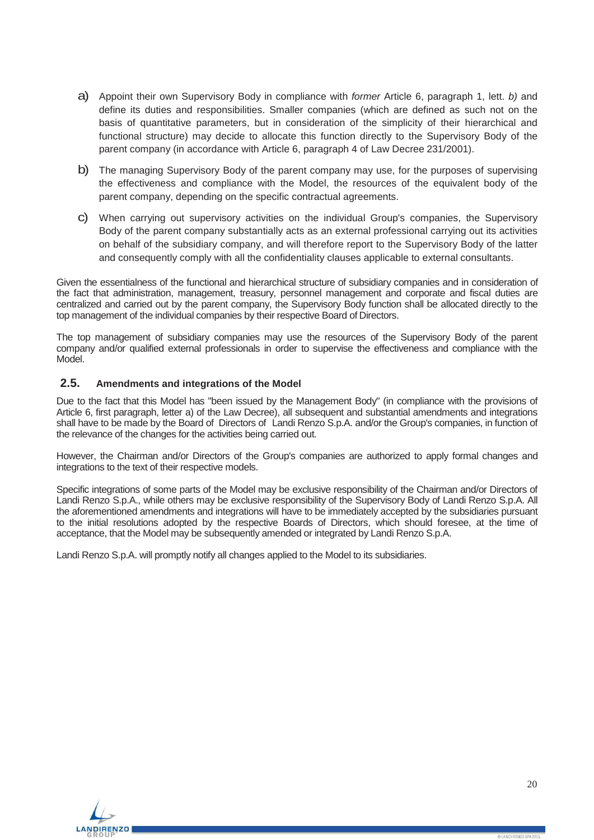- a) Appoint their own Supervisory Body in compliance with *former* Article 6, paragraph 1, lett. *b)* and define its duties and responsibilities. Smaller companies (which are defined as such not on the basis of quantitative parameters, but in consideration of the simplicity of their hierarchical and functional structure) may decide to allocate this function directly to the Supervisory Body of the parent company (in accordance with Article 6, paragraph 4 of Law Decree 231/2001).
- b) The managing Supervisory Body of the parent company may use, for the purposes of supervising the effectiveness and compliance with the Model, the resources of the equivalent body of the parent company, depending on the specific contractual agreements.
- c) When carrying out supervisory activities on the individual Group's companies, the Supervisory Body of the parent company substantially acts as an external professional carrying out its activities on behalf of the subsidiary company, and will therefore report to the Supervisory Body of the latter and consequently comply with all the confidentiality clauses applicable to external consultants.

Given the essentialness of the functional and hierarchical structure of subsidiary companies and in consideration of the fact that administration, management, treasury, personnel management and corporate and fiscal duties are centralized and carried out by the parent company, the Supervisory Body function shall be allocated directly to the top management of the individual companies by their respective Board of Directors.

The top management of subsidiary companies may use the resources of the Supervisory Body of the parent company and/or qualified external professionals in order to supervise the effectiveness and compliance with the Model.

## <span id="page-19-0"></span>**2.5. Amendments and integrations of the Model**

Due to the fact that this Model has "been issued by the Management Body" (in compliance with the provisions of Article 6, first paragraph, letter a) of the Law Decree), all subsequent and substantial amendments and integrations shall have to be made by the Board of Directors of Landi Renzo S.p.A. and/or the Group's companies, in function of the relevance of the changes for the activities being carried out.

However, the Chairman and/or Directors of the Group's companies are authorized to apply formal changes and integrations to the text of their respective models.

Specific integrations of some parts of the Model may be exclusive responsibility of the Chairman and/or Directors of Landi Renzo S.p.A., while others may be exclusive responsibility of the Supervisory Body of Landi Renzo S.p.A. All the aforementioned amendments and integrations will have to be immediately accepted by the subsidiaries pursuant to the initial resolutions adopted by the respective Boards of Directors, which should foresee, at the time of acceptance, that the Model may be subsequently amended or integrated by Landi Renzo S.p.A.

Landi Renzo S.p.A. will promptly notify all changes applied to the Model to its subsidiaries.

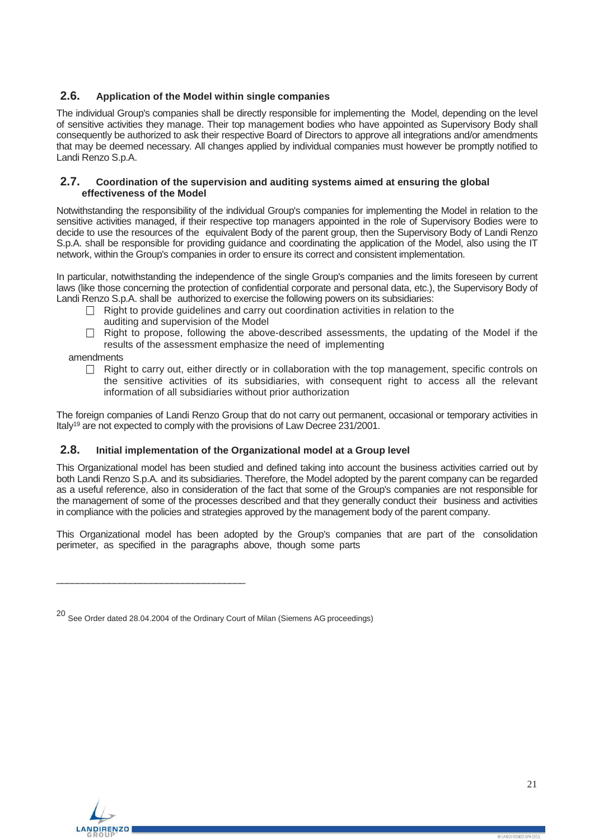## <span id="page-20-0"></span>**2.6. Application of the Model within single companies**

The individual Group's companies shall be directly responsible for implementing the Model, depending on the level of sensitive activities they manage. Their top management bodies who have appointed as Supervisory Body shall consequently be authorized to ask their respective Board of Directors to approve all integrations and/or amendments that may be deemed necessary. All changes applied by individual companies must however be promptly notified to Landi Renzo S.p.A.

#### <span id="page-20-1"></span>**2.7. Coordination of the supervision and auditing systems aimed at ensuring the global effectiveness of the Model**

Notwithstanding the responsibility of the individual Group's companies for implementing the Model in relation to the sensitive activities managed, if their respective top managers appointed in the role of Supervisory Bodies were to decide to use the resources of the equivalent Body of the parent group, then the Supervisory Body of Landi Renzo S.p.A. shall be responsible for providing guidance and coordinating the application of the Model, also using the IT network, within the Group's companies in order to ensure its correct and consistent implementation.

In particular, notwithstanding the independence of the single Group's companies and the limits foreseen by current laws (like those concerning the protection of confidential corporate and personal data, etc.), the Supervisory Body of Landi Renzo S.p.A. shall be authorized to exercise the following powers on its subsidiaries:

- $\Box$  Right to provide guidelines and carry out coordination activities in relation to the auditing and supervision of the Model
- $\Box$  Right to propose, following the above-described assessments, the updating of the Model if the results of the assessment emphasize the need of implementing

amendments

 $\Box$  Right to carry out, either directly or in collaboration with the top management, specific controls on the sensitive activities of its subsidiaries, with consequent right to access all the relevant information of all subsidiaries without prior authorization

The foreign companies of Landi Renzo Group that do not carry out permanent, occasional or temporary activities in Italy19 are not expected to comply with the provisions of Law Decree 231/2001.

## <span id="page-20-2"></span>**2.8. Initial implementation of the Organizational model at a Group level**

This Organizational model has been studied and defined taking into account the business activities carried out by both Landi Renzo S.p.A. and its subsidiaries. Therefore, the Model adopted by the parent company can be regarded as a useful reference, also in consideration of the fact that some of the Group's companies are not responsible for the management of some of the processes described and that they generally conduct their business and activities in compliance with the policies and strategies approved by the management body of the parent company.

This Organizational model has been adopted by the Group's companies that are part of the consolidation perimeter, as specified in the paragraphs above, though some parts

 $\_$ 



<sup>20</sup> See Order dated 28.04.2004 of the Ordinary Court of Milan (Siemens AG proceedings)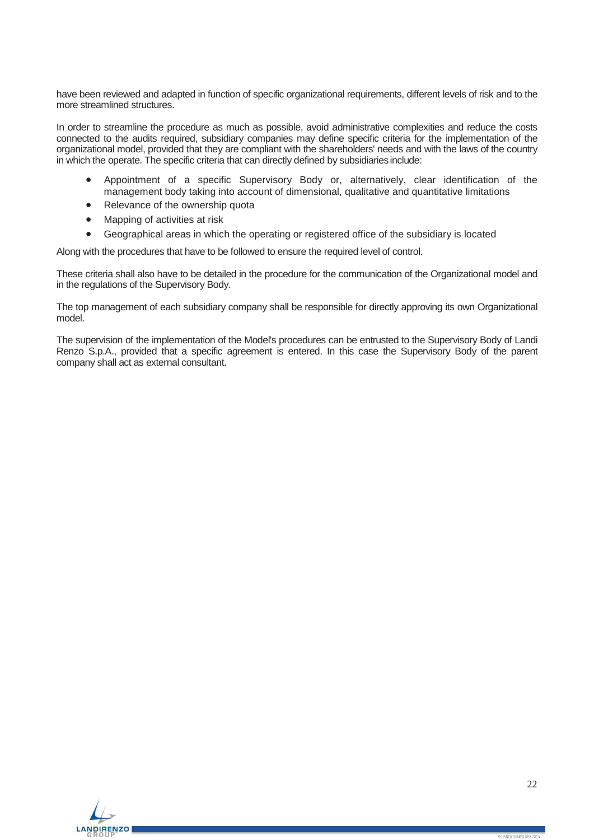have been reviewed and adapted in function of specific organizational requirements, different levels of risk and to the more streamlined structures.

In order to streamline the procedure as much as possible, avoid administrative complexities and reduce the costs connected to the audits required, subsidiary companies may define specific criteria for the implementation of the organizational model, provided that they are compliant with the shareholders' needs and with the laws of the country in which the operate. The specific criteria that can directly defined by subsidiaries include:

- Appointment of a specific Supervisory Body or, alternatively, clear identification of the management body taking into account of dimensional, qualitative and quantitative limitations
- Relevance of the ownership quota
- Mapping of activities at risk
- Geographical areas in which the operating or registered office of the subsidiary is located

Along with the procedures that have to be followed to ensure the required level of control.

These criteria shall also have to be detailed in the procedure for the communication of the Organizational model and in the regulations of the Supervisory Body.

The top management of each subsidiary company shall be responsible for directly approving its own Organizational model.

The supervision of the implementation of the Model's procedures can be entrusted to the Supervisory Body of Landi Renzo S.p.A., provided that a specific agreement is entered. In this case the Supervisory Body of the parent company shall act as external consultant.

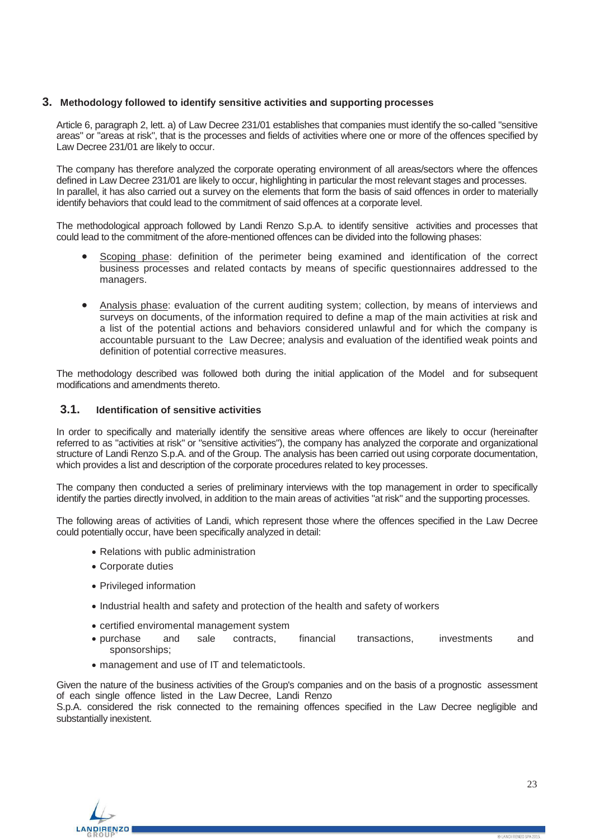## <span id="page-22-0"></span>**3. Methodology followed to identify sensitive activities and supporting processes**

Article 6, paragraph 2, lett. a) of Law Decree 231/01 establishes that companies must identify the so-called "sensitive areas" or "areas at risk", that is the processes and fields of activities where one or more of the offences specified by Law Decree 231/01 are likely to occur.

The company has therefore analyzed the corporate operating environment of all areas/sectors where the offences defined in Law Decree 231/01 are likely to occur, highlighting in particular the most relevant stages and processes. In parallel, it has also carried out a survey on the elements that form the basis of said offences in order to materially identify behaviors that could lead to the commitment of said offences at a corporate level.

The methodological approach followed by Landi Renzo S.p.A. to identify sensitive activities and processes that could lead to the commitment of the afore-mentioned offences can be divided into the following phases:

- Scoping phase: definition of the perimeter being examined and identification of the correct business processes and related contacts by means of specific questionnaires addressed to the managers.
- Analysis phase: evaluation of the current auditing system; collection, by means of interviews and surveys on documents, of the information required to define a map of the main activities at risk and a list of the potential actions and behaviors considered unlawful and for which the company is accountable pursuant to the Law Decree; analysis and evaluation of the identified weak points and definition of potential corrective measures.

The methodology described was followed both during the initial application of the Model and for subsequent modifications and amendments thereto.

## <span id="page-22-1"></span>**3.1. Identification of sensitive activities**

In order to specifically and materially identify the sensitive areas where offences are likely to occur (hereinafter referred to as "activities at risk" or "sensitive activities"), the company has analyzed the corporate and organizational structure of Landi Renzo S.p.A. and of the Group. The analysis has been carried out using corporate documentation, which provides a list and description of the corporate procedures related to key processes.

The company then conducted a series of preliminary interviews with the top management in order to specifically identify the parties directly involved, in addition to the main areas of activities "at risk" and the supporting processes.

The following areas of activities of Landi, which represent those where the offences specified in the Law Decree could potentially occur, have been specifically analyzed in detail:

- Relations with public administration
- Corporate duties
- Privileged information
- Industrial health and safety and protection of the health and safety of workers
- certified enviromental management system
- purchase and sale contracts, financial transactions, investments and sponsorships;
- management and use of IT and telematictools.

Given the nature of the business activities of the Group's companies and on the basis of a prognostic assessment of each single offence listed in the Law Decree, Landi Renzo

S.p.A. considered the risk connected to the remaining offences specified in the Law Decree negligible and substantially inexistent.

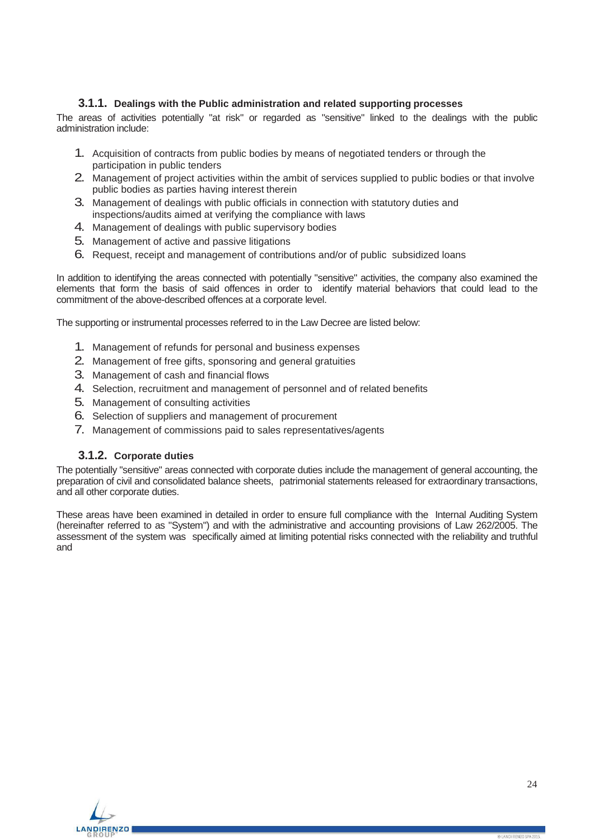## **3.1.1. Dealings with the Public administration and related supporting processes**

<span id="page-23-0"></span>The areas of activities potentially "at risk" or regarded as "sensitive" linked to the dealings with the public administration include:

- 1. Acquisition of contracts from public bodies by means of negotiated tenders or through the participation in public tenders
- 2. Management of project activities within the ambit of services supplied to public bodies or that involve public bodies as parties having interest therein
- 3. Management of dealings with public officials in connection with statutory duties and inspections/audits aimed at verifying the compliance with laws
- 4. Management of dealings with public supervisory bodies
- 5. Management of active and passive litigations
- 6. Request, receipt and management of contributions and/or of public subsidized loans

In addition to identifying the areas connected with potentially "sensitive" activities, the company also examined the elements that form the basis of said offences in order to identify material behaviors that could lead to the commitment of the above-described offences at a corporate level.

The supporting or instrumental processes referred to in the Law Decree are listed below:

- 1. Management of refunds for personal and business expenses
- 2. Management of free gifts, sponsoring and general gratuities
- 3. Management of cash and financial flows
- 4. Selection, recruitment and management of personnel and of related benefits
- 5. Management of consulting activities
- 6. Selection of suppliers and management of procurement
- 7. Management of commissions paid to sales representatives/agents

### **3.1.2. Corporate duties**

<span id="page-23-1"></span>The potentially "sensitive" areas connected with corporate duties include the management of general accounting, the preparation of civil and consolidated balance sheets, patrimonial statements released for extraordinary transactions, and all other corporate duties.

These areas have been examined in detailed in order to ensure full compliance with the Internal Auditing System (hereinafter referred to as "System") and with the administrative and accounting provisions of Law 262/2005. The assessment of the system was specifically aimed at limiting potential risks connected with the reliability and truthful and

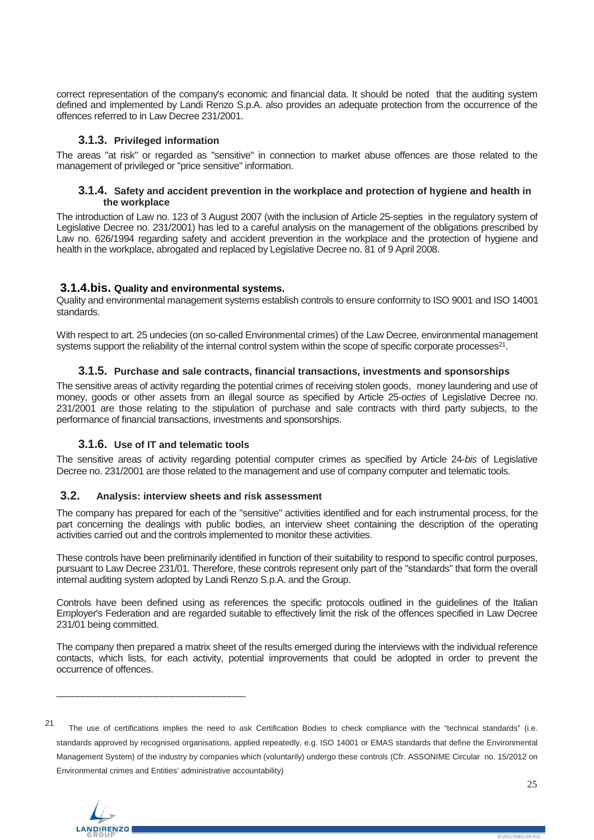correct representation of the company's economic and financial data. It should be noted that the auditing system defined and implemented by Landi Renzo S.p.A. also provides an adequate protection from the occurrence of the offences referred to in Law Decree 231/2001.

## **3.1.3. Privileged information**

<span id="page-24-1"></span><span id="page-24-0"></span>The areas "at risk" or regarded as "sensitive" in connection to market abuse offences are those related to the management of privileged or "price sensitive" information.

#### **3.1.4. Safety and accident prevention in the workplace and protection of hygiene and health in the workplace**

The introduction of Law no. 123 of 3 August 2007 (with the inclusion of Article 25-septies in the regulatory system of Legislative Decree no. 231/2001) has led to a careful analysis on the management of the obligations prescribed by Law no. 626/1994 regarding safety and accident prevention in the workplace and the protection of hygiene and health in the workplace, abrogated and replaced by Legislative Decree no. 81 of 9 April 2008.

## <span id="page-24-2"></span>**3.1.4.bis. Quality and environmental systems.**

Quality and environmental management systems establish controls to ensure conformity to ISO 9001 and ISO 14001 standards.

<span id="page-24-3"></span>With respect to art. 25 undecies (on so-called Environmental crimes) of the Law Decree, environmental management systems support the reliability of the internal control system within the scope of specific corporate processes<sup>21</sup>.

## **3.1.5. Purchase and sale contracts, financial transactions, investments and sponsorships**

The sensitive areas of activity regarding the potential crimes of receiving stolen goods, money laundering and use of money, goods or other assets from an illegal source as specified by Article 25-*octies* of Legislative Decree no. 231/2001 are those relating to the stipulation of purchase and sale contracts with third party subjects, to the performance of financial transactions, investments and sponsorships.

## **3.1.6. Use of IT and telematic tools**

\_\_\_\_\_\_\_\_\_\_\_\_\_\_\_\_\_\_\_\_\_\_\_\_\_\_\_\_\_\_\_\_\_\_\_\_

<span id="page-24-5"></span><span id="page-24-4"></span>The sensitive areas of activity regarding potential computer crimes as specified by Article 24-*bis* of Legislative Decree no. 231/2001 are those related to the management and use of company computer and telematic tools.

## **3.2. Analysis: interview sheets and risk assessment**

The company has prepared for each of the "sensitive" activities identified and for each instrumental process, for the part concerning the dealings with public bodies, an interview sheet containing the description of the operating activities carried out and the controls implemented to monitor these activities.

These controls have been preliminarily identified in function of their suitability to respond to specific control purposes, pursuant to Law Decree 231/01. Therefore, these controls represent only part of the "standards" that form the overall internal auditing system adopted by Landi Renzo S.p.A. and the Group.

Controls have been defined using as references the specific protocols outlined in the guidelines of the Italian Employer's Federation and are regarded suitable to effectively limit the risk of the offences specified in Law Decree 231/01 being committed.

The company then prepared a matrix sheet of the results emerged during the interviews with the individual reference contacts, which lists, for each activity, potential improvements that could be adopted in order to prevent the occurrence of offences.

<sup>21</sup> The use of certifications implies the need to ask Certification Bodies to check compliance with the "technical standards" (i.e. standards approved by recognised organisations, applied repeatedly, e.g. ISO 14001 or EMAS standards that define the Environmental Management System) of the industry by companies which (voluntarily) undergo these controls (Cfr. ASSONIME Circular no. 15/2012 on Environmental crimes and Entities' administrative accountability)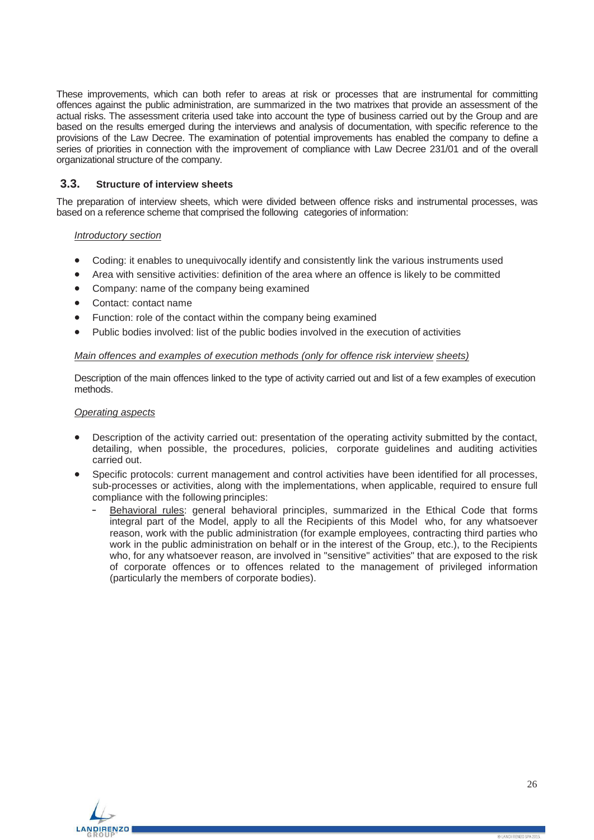These improvements, which can both refer to areas at risk or processes that are instrumental for committing offences against the public administration, are summarized in the two matrixes that provide an assessment of the actual risks. The assessment criteria used take into account the type of business carried out by the Group and are based on the results emerged during the interviews and analysis of documentation, with specific reference to the provisions of the Law Decree. The examination of potential improvements has enabled the company to define a series of priorities in connection with the improvement of compliance with Law Decree 231/01 and of the overall organizational structure of the company.

# <span id="page-25-0"></span>**3.3. Structure of interview sheets**

The preparation of interview sheets, which were divided between offence risks and instrumental processes, was based on a reference scheme that comprised the following categories of information:

#### *Introductory section*

- Coding: it enables to unequivocally identify and consistently link the various instruments used
- Area with sensitive activities: definition of the area where an offence is likely to be committed
- Company: name of the company being examined
- Contact: contact name
- Function: role of the contact within the company being examined
- Public bodies involved: list of the public bodies involved in the execution of activities

#### *Main offences and examples of execution methods (only for offence risk interview sheets)*

Description of the main offences linked to the type of activity carried out and list of a few examples of execution methods.

#### *Operating aspects*

- Description of the activity carried out: presentation of the operating activity submitted by the contact, detailing, when possible, the procedures, policies, corporate guidelines and auditing activities carried out.
- Specific protocols: current management and control activities have been identified for all processes, sub-processes or activities, along with the implementations, when applicable, required to ensure full compliance with the following principles:
	- Behavioral rules: general behavioral principles, summarized in the Ethical Code that forms integral part of the Model, apply to all the Recipients of this Model who, for any whatsoever reason, work with the public administration (for example employees, contracting third parties who work in the public administration on behalf or in the interest of the Group, etc.), to the Recipients who, for any whatsoever reason, are involved in "sensitive" activities" that are exposed to the risk of corporate offences or to offences related to the management of privileged information (particularly the members of corporate bodies).

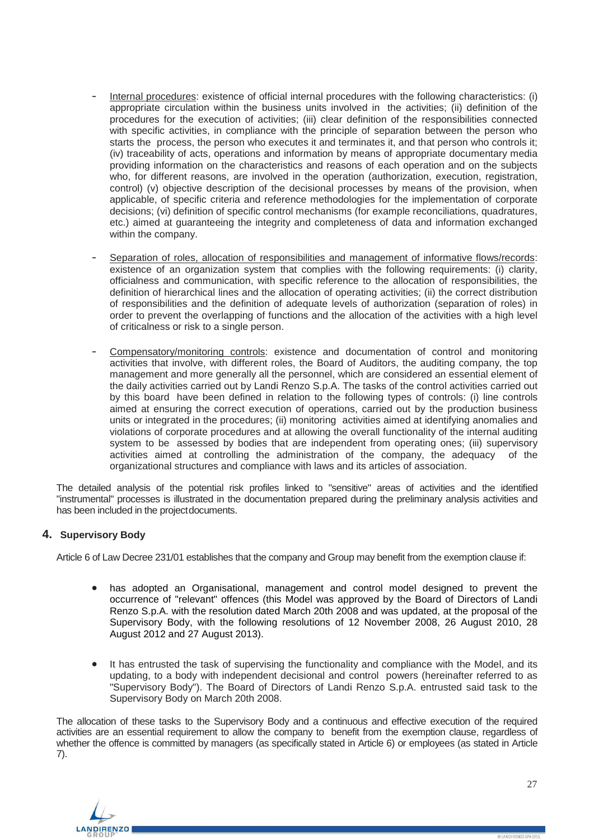- Internal procedures: existence of official internal procedures with the following characteristics: (i) appropriate circulation within the business units involved in the activities; (ii) definition of the procedures for the execution of activities; (iii) clear definition of the responsibilities connected with specific activities, in compliance with the principle of separation between the person who starts the process, the person who executes it and terminates it, and that person who controls it; (iv) traceability of acts, operations and information by means of appropriate documentary media providing information on the characteristics and reasons of each operation and on the subjects who, for different reasons, are involved in the operation (authorization, execution, registration, control) (v) objective description of the decisional processes by means of the provision, when applicable, of specific criteria and reference methodologies for the implementation of corporate decisions; (vi) definition of specific control mechanisms (for example reconciliations, quadratures, etc.) aimed at guaranteeing the integrity and completeness of data and information exchanged within the company.
- Separation of roles, allocation of responsibilities and management of informative flows/records: existence of an organization system that complies with the following requirements: (i) clarity, officialness and communication, with specific reference to the allocation of responsibilities, the definition of hierarchical lines and the allocation of operating activities; (ii) the correct distribution of responsibilities and the definition of adequate levels of authorization (separation of roles) in order to prevent the overlapping of functions and the allocation of the activities with a high level of criticalness or risk to a single person.
- Compensatory/monitoring controls: existence and documentation of control and monitoring activities that involve, with different roles, the Board of Auditors, the auditing company, the top management and more generally all the personnel, which are considered an essential element of the daily activities carried out by Landi Renzo S.p.A. The tasks of the control activities carried out by this board have been defined in relation to the following types of controls: (i) line controls aimed at ensuring the correct execution of operations, carried out by the production business units or integrated in the procedures; (ii) monitoring activities aimed at identifying anomalies and violations of corporate procedures and at allowing the overall functionality of the internal auditing system to be assessed by bodies that are independent from operating ones; (iii) supervisory activities aimed at controlling the administration of the company, the adequacy of the organizational structures and compliance with laws and its articles of association.

The detailed analysis of the potential risk profiles linked to "sensitive" areas of activities and the identified "instrumental" processes is illustrated in the documentation prepared during the preliminary analysis activities and has been included in the projectdocuments.

# <span id="page-26-0"></span>**4. Supervisory Body**

Article 6 of Law Decree 231/01 establishes that the company and Group may benefit from the exemption clause if:

- has adopted an Organisational, management and control model designed to prevent the occurrence of "relevant" offences (this Model was approved by the Board of Directors of Landi Renzo S.p.A. with the resolution dated March 20th 2008 and was updated, at the proposal of the Supervisory Body, with the following resolutions of 12 November 2008, 26 August 2010, 28 August 2012 and 27 August 2013).
- It has entrusted the task of supervising the functionality and compliance with the Model, and its updating, to a body with independent decisional and control powers (hereinafter referred to as "Supervisory Body"). The Board of Directors of Landi Renzo S.p.A. entrusted said task to the Supervisory Body on March 20th 2008.

The allocation of these tasks to the Supervisory Body and a continuous and effective execution of the required activities are an essential requirement to allow the company to benefit from the exemption clause, regardless of whether the offence is committed by managers (as specifically stated in Article 6) or employees (as stated in Article 7).

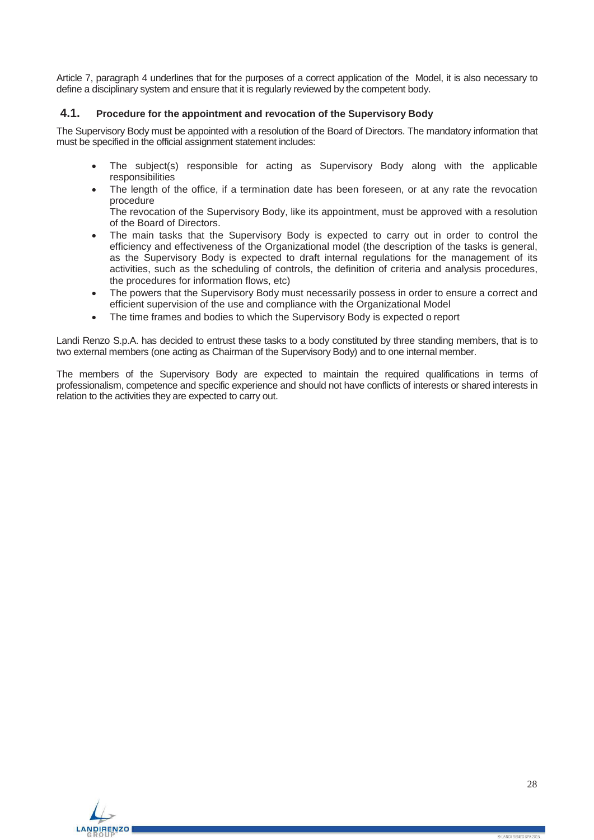Article 7, paragraph 4 underlines that for the purposes of a correct application of the Model, it is also necessary to define a disciplinary system and ensure that it is regularly reviewed by the competent body.

## <span id="page-27-0"></span>**4.1. Procedure for the appointment and revocation of the Supervisory Body**

The Supervisory Body must be appointed with a resolution of the Board of Directors. The mandatory information that must be specified in the official assignment statement includes:

- The subject(s) responsible for acting as Supervisory Body along with the applicable responsibilities
- The length of the office, if a termination date has been foreseen, or at any rate the revocation procedure

The revocation of the Supervisory Body, like its appointment, must be approved with a resolution of the Board of Directors.

- The main tasks that the Supervisory Body is expected to carry out in order to control the efficiency and effectiveness of the Organizational model (the description of the tasks is general, as the Supervisory Body is expected to draft internal regulations for the management of its activities, such as the scheduling of controls, the definition of criteria and analysis procedures, the procedures for information flows, etc)
- The powers that the Supervisory Body must necessarily possess in order to ensure a correct and efficient supervision of the use and compliance with the Organizational Model
- The time frames and bodies to which the Supervisory Body is expected o report

Landi Renzo S.p.A. has decided to entrust these tasks to a body constituted by three standing members, that is to two external members (one acting as Chairman of the Supervisory Body) and to one internal member.

The members of the Supervisory Body are expected to maintain the required qualifications in terms of professionalism, competence and specific experience and should not have conflicts of interests or shared interests in relation to the activities they are expected to carry out.

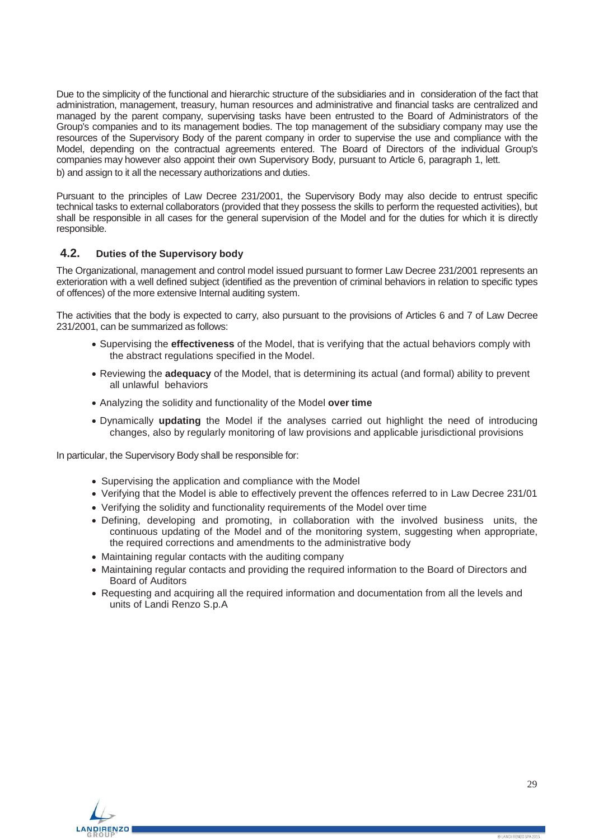Due to the simplicity of the functional and hierarchic structure of the subsidiaries and in consideration of the fact that administration, management, treasury, human resources and administrative and financial tasks are centralized and managed by the parent company, supervising tasks have been entrusted to the Board of Administrators of the Group's companies and to its management bodies. The top management of the subsidiary company may use the resources of the Supervisory Body of the parent company in order to supervise the use and compliance with the Model, depending on the contractual agreements entered. The Board of Directors of the individual Group's companies may however also appoint their own Supervisory Body, pursuant to Article 6, paragraph 1, lett. b) and assign to it all the necessary authorizations and duties.

Pursuant to the principles of Law Decree 231/2001, the Supervisory Body may also decide to entrust specific technical tasks to external collaborators (provided that they possess the skills to perform the requested activities), but shall be responsible in all cases for the general supervision of the Model and for the duties for which it is directly responsible.

## <span id="page-28-0"></span>**4.2. Duties of the Supervisory body**

The Organizational, management and control model issued pursuant to former Law Decree 231/2001 represents an exterioration with a well defined subject (identified as the prevention of criminal behaviors in relation to specific types of offences) of the more extensive Internal auditing system.

The activities that the body is expected to carry, also pursuant to the provisions of Articles 6 and 7 of Law Decree 231/2001, can be summarized as follows:

- Supervising the **effectiveness** of the Model, that is verifying that the actual behaviors comply with the abstract regulations specified in the Model.
- Reviewing the **adequacy** of the Model, that is determining its actual (and formal) ability to prevent all unlawful behaviors
- Analyzing the solidity and functionality of the Model **over time**
- Dynamically **updating** the Model if the analyses carried out highlight the need of introducing changes, also by regularly monitoring of law provisions and applicable jurisdictional provisions

In particular, the Supervisory Body shall be responsible for:

- Supervising the application and compliance with the Model
- Verifying that the Model is able to effectively prevent the offences referred to in Law Decree 231/01
- Verifying the solidity and functionality requirements of the Model over time
- Defining, developing and promoting, in collaboration with the involved business units, the continuous updating of the Model and of the monitoring system, suggesting when appropriate, the required corrections and amendments to the administrative body
- Maintaining regular contacts with the auditing company
- Maintaining regular contacts and providing the required information to the Board of Directors and Board of Auditors
- Requesting and acquiring all the required information and documentation from all the levels and units of Landi Renzo S.p.A

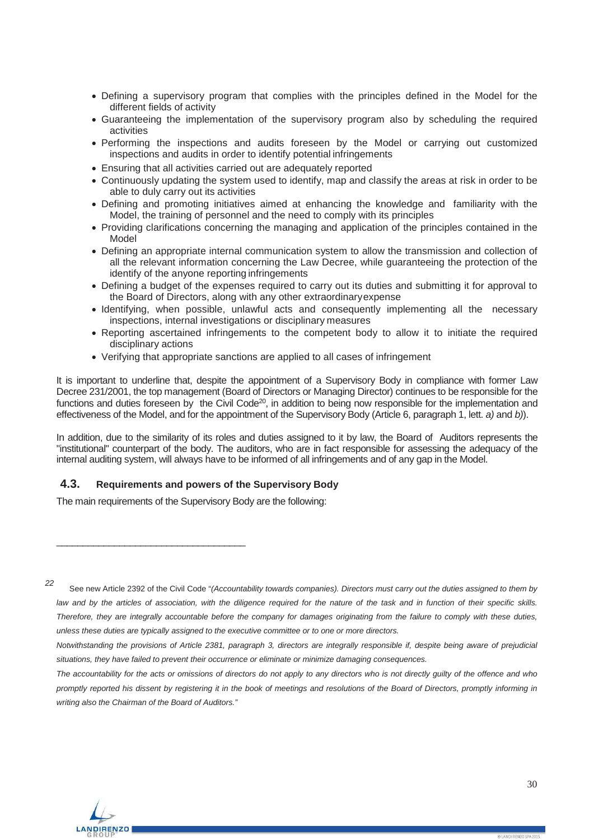- Defining a supervisory program that complies with the principles defined in the Model for the different fields of activity
- Guaranteeing the implementation of the supervisory program also by scheduling the required activities
- Performing the inspections and audits foreseen by the Model or carrying out customized inspections and audits in order to identify potential infringements
- Ensuring that all activities carried out are adequately reported
- Continuously updating the system used to identify, map and classify the areas at risk in order to be able to duly carry out its activities
- Defining and promoting initiatives aimed at enhancing the knowledge and familiarity with the Model, the training of personnel and the need to comply with its principles
- Providing clarifications concerning the managing and application of the principles contained in the Model
- Defining an appropriate internal communication system to allow the transmission and collection of all the relevant information concerning the Law Decree, while guaranteeing the protection of the identify of the anyone reporting infringements
- Defining a budget of the expenses required to carry out its duties and submitting it for approval to the Board of Directors, along with any other extraordinaryexpense
- Identifying, when possible, unlawful acts and consequently implementing all the necessary inspections, internal investigations or disciplinary measures
- Reporting ascertained infringements to the competent body to allow it to initiate the required disciplinary actions
- Verifying that appropriate sanctions are applied to all cases of infringement

It is important to underline that, despite the appointment of a Supervisory Body in compliance with former Law Decree 231/2001, the top management (Board of Directors or Managing Director) continues to be responsible for the functions and duties foreseen by the Civil Code<sup>20</sup>, in addition to being now responsible for the implementation and effectiveness of the Model, and for the appointment of the Supervisory Body (Article 6, paragraph 1, lett. *a)* and *b)*).

In addition, due to the similarity of its roles and duties assigned to it by law, the Board of Auditors represents the "institutional" counterpart of the body. The auditors, who are in fact responsible for assessing the adequacy of the internal auditing system, will always have to be informed of all infringements and of any gap in the Model.

## <span id="page-29-0"></span>**4.3. Requirements and powers of the Supervisory Body**

The main requirements of the Supervisory Body are the following:

\_\_\_\_\_\_\_\_\_\_\_\_\_\_\_\_\_\_\_\_\_\_\_\_\_\_\_\_\_\_\_\_\_\_\_\_

*<sup>22</sup>* See new Article 2392 of the Civil Code "*(Accountability towards companies). Directors must carry out the duties assigned to them by*  law and by the articles of association, with the diligence required for the nature of the task and in function of their specific skills. *Therefore, they are integrally accountable before the company for damages originating from the failure to comply with these duties, unless these duties are typically assigned to the executive committee or to one or more directors.*

*The accountability for the acts or omissions of directors do not apply to any directors who is not directly guilty of the offence and who promptly reported his dissent by registering it in the book of meetings and resolutions of the Board of Directors, promptly informing in writing also the Chairman of the Board of Auditors."*



*Notwithstanding the provisions of Article 2381, paragraph 3, directors are integrally responsible if, despite being aware of prejudicial situations, they have failed to prevent their occurrence or eliminate or minimize damaging consequences.*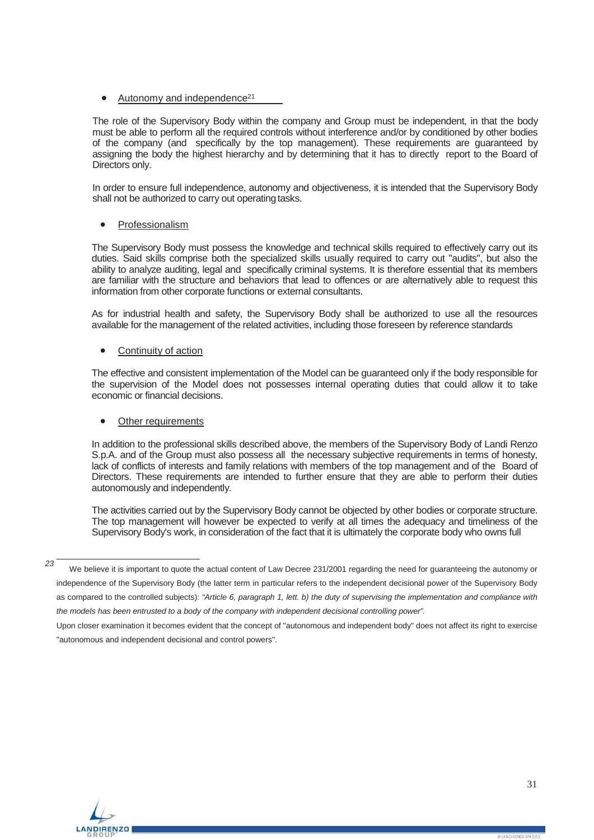## Autonomy and independence<sup>21</sup>

The role of the Supervisory Body within the company and Group must be independent, in that the body must be able to perform all the required controls without interference and/or by conditioned by other bodies of the company (and specifically by the top management). These requirements are guaranteed by assigning the body the highest hierarchy and by determining that it has to directly report to the Board of Directors only.

In order to ensure full independence, autonomy and objectiveness, it is intended that the Supervisory Body shall not be authorized to carry out operating tasks.

### **Professionalism**

The Supervisory Body must possess the knowledge and technical skills required to effectively carry out its duties. Said skills comprise both the specialized skills usually required to carry out "audits", but also the ability to analyze auditing, legal and specifically criminal systems. It is therefore essential that its members are familiar with the structure and behaviors that lead to offences or are alternatively able to request this information from other corporate functions or external consultants.

As for industrial health and safety, the Supervisory Body shall be authorized to use all the resources available for the management of the related activities, including those foreseen by reference standards

### Continuity of action

The effective and consistent implementation of the Model can be guaranteed only if the body responsible for the supervision of the Model does not possesses internal operating duties that could allow it to take economic or financial decisions.

#### Other requirements

In addition to the professional skills described above, the members of the Supervisory Body of Landi Renzo S.p.A. and of the Group must also possess all the necessary subjective requirements in terms of honesty, lack of conflicts of interests and family relations with members of the top management and of the Board of Directors. These requirements are intended to further ensure that they are able to perform their duties autonomously and independently.

The activities carried out by the Supervisory Body cannot be objected by other bodies or corporate structure. The top management will however be expected to verify at all times the adequacy and timeliness of the Supervisory Body's work, in consideration of the fact that it is ultimately the corporate body who owns full



*<sup>23</sup>* We believe it is important to quote the actual content of Law Decree 231/2001 regarding the need for guaranteeing the autonomy or independence of the Supervisory Body (the latter term in particular refers to the independent decisional power of the Supervisory Body as compared to the controlled subjects): *"Article 6, paragraph 1, lett. b) the duty of supervising the implementation and compliance with*  the models has been entrusted to a body of the company with independent decisional controlling power".

Upon closer examination it becomes evident that the concept of "autonomous and independent body" does not affect its right to exercise "autonomous and independent decisional and control powers".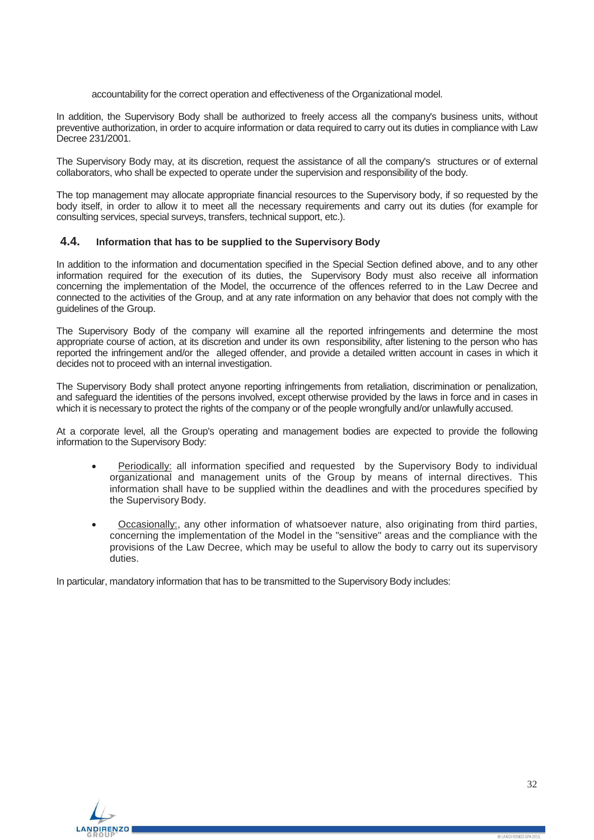accountability for the correct operation and effectiveness of the Organizational model.

In addition, the Supervisory Body shall be authorized to freely access all the company's business units, without preventive authorization, in order to acquire information or data required to carry out its duties in compliance with Law Decree 231/2001.

The Supervisory Body may, at its discretion, request the assistance of all the company's structures or of external collaborators, who shall be expected to operate under the supervision and responsibility of the body.

The top management may allocate appropriate financial resources to the Supervisory body, if so requested by the body itself, in order to allow it to meet all the necessary requirements and carry out its duties (for example for consulting services, special surveys, transfers, technical support, etc.).

#### <span id="page-31-0"></span>**4.4. Information that has to be supplied to the Supervisory Body**

In addition to the information and documentation specified in the Special Section defined above, and to any other information required for the execution of its duties, the Supervisory Body must also receive all information concerning the implementation of the Model, the occurrence of the offences referred to in the Law Decree and connected to the activities of the Group, and at any rate information on any behavior that does not comply with the guidelines of the Group.

The Supervisory Body of the company will examine all the reported infringements and determine the most appropriate course of action, at its discretion and under its own responsibility, after listening to the person who has reported the infringement and/or the alleged offender, and provide a detailed written account in cases in which it decides not to proceed with an internal investigation.

The Supervisory Body shall protect anyone reporting infringements from retaliation, discrimination or penalization, and safeguard the identities of the persons involved, except otherwise provided by the laws in force and in cases in which it is necessary to protect the rights of the company or of the people wrongfully and/or unlawfully accused.

At a corporate level, all the Group's operating and management bodies are expected to provide the following information to the Supervisory Body:

- Periodically: all information specified and requested by the Supervisory Body to individual organizational and management units of the Group by means of internal directives. This information shall have to be supplied within the deadlines and with the procedures specified by the Supervisory Body.
- Occasionally:, any other information of whatsoever nature, also originating from third parties, concerning the implementation of the Model in the "sensitive" areas and the compliance with the provisions of the Law Decree, which may be useful to allow the body to carry out its supervisory duties.

In particular, mandatory information that has to be transmitted to the Supervisory Body includes:

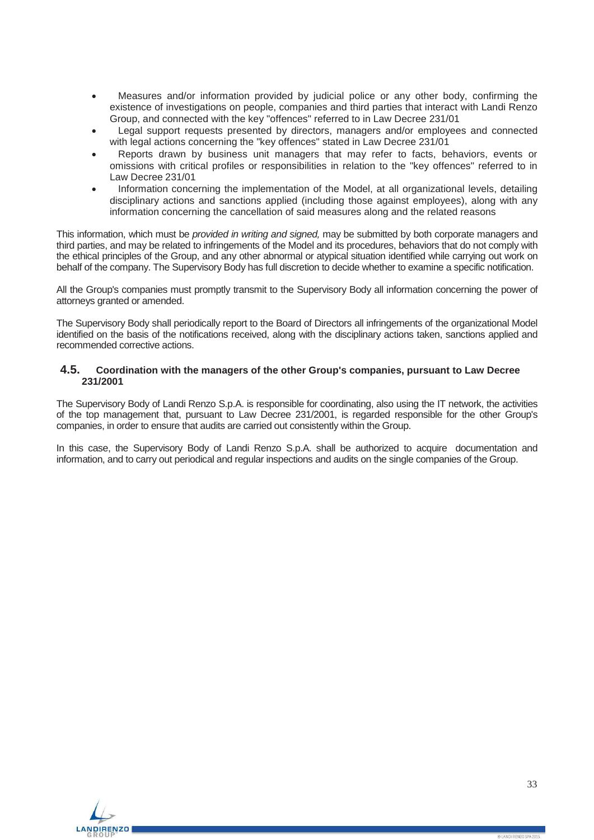- Measures and/or information provided by judicial police or any other body, confirming the existence of investigations on people, companies and third parties that interact with Landi Renzo Group, and connected with the key "offences" referred to in Law Decree 231/01
- Legal support requests presented by directors, managers and/or employees and connected with legal actions concerning the "key offences" stated in Law Decree 231/01
- Reports drawn by business unit managers that may refer to facts, behaviors, events or omissions with critical profiles or responsibilities in relation to the "key offences" referred to in Law Decree 231/01
- Information concerning the implementation of the Model, at all organizational levels, detailing disciplinary actions and sanctions applied (including those against employees), along with any information concerning the cancellation of said measures along and the related reasons

This information, which must be *provided in writing and signed,* may be submitted by both corporate managers and third parties, and may be related to infringements of the Model and its procedures, behaviors that do not comply with the ethical principles of the Group, and any other abnormal or atypical situation identified while carrying out work on behalf of the company. The Supervisory Body has full discretion to decide whether to examine a specific notification.

All the Group's companies must promptly transmit to the Supervisory Body all information concerning the power of attorneys granted or amended.

The Supervisory Body shall periodically report to the Board of Directors all infringements of the organizational Model identified on the basis of the notifications received, along with the disciplinary actions taken, sanctions applied and recommended corrective actions.

### <span id="page-32-0"></span>**4.5. Coordination with the managers of the other Group's companies, pursuant to Law Decree 231/2001**

The Supervisory Body of Landi Renzo S.p.A. is responsible for coordinating, also using the IT network, the activities of the top management that, pursuant to Law Decree 231/2001, is regarded responsible for the other Group's companies, in order to ensure that audits are carried out consistently within the Group.

In this case, the Supervisory Body of Landi Renzo S.p.A. shall be authorized to acquire documentation and information, and to carry out periodical and regular inspections and audits on the single companies of the Group.

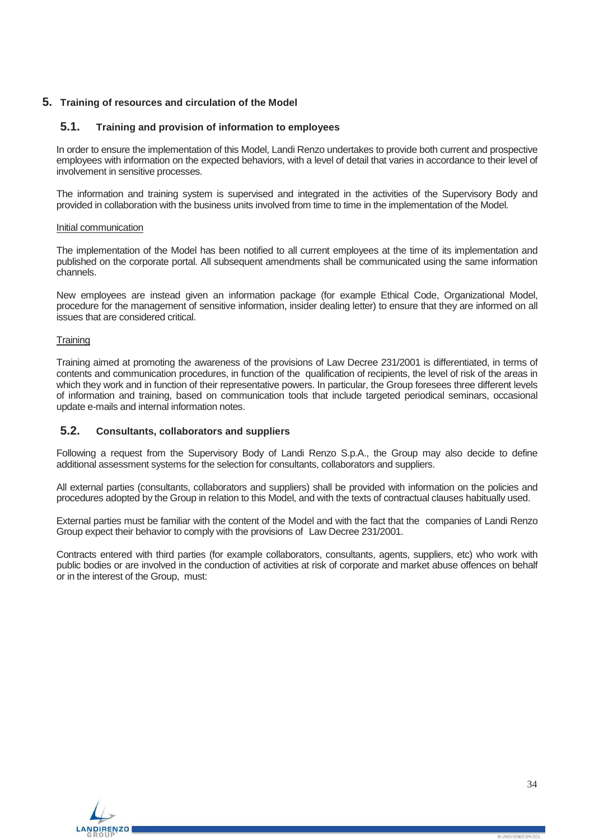## <span id="page-33-1"></span><span id="page-33-0"></span>**5. Training of resources and circulation of the Model**

## **5.1. Training and provision of information to employees**

In order to ensure the implementation of this Model, Landi Renzo undertakes to provide both current and prospective employees with information on the expected behaviors, with a level of detail that varies in accordance to their level of involvement in sensitive processes.

The information and training system is supervised and integrated in the activities of the Supervisory Body and provided in collaboration with the business units involved from time to time in the implementation of the Model.

#### Initial communication

The implementation of the Model has been notified to all current employees at the time of its implementation and published on the corporate portal. All subsequent amendments shall be communicated using the same information channels.

New employees are instead given an information package (for example Ethical Code, Organizational Model, procedure for the management of sensitive information, insider dealing letter) to ensure that they are informed on all issues that are considered critical.

#### **Training**

Training aimed at promoting the awareness of the provisions of Law Decree 231/2001 is differentiated, in terms of contents and communication procedures, in function of the qualification of recipients, the level of risk of the areas in which they work and in function of their representative powers. In particular, the Group foresees three different levels of information and training, based on communication tools that include targeted periodical seminars, occasional update e-mails and internal information notes.

## <span id="page-33-2"></span>**5.2. Consultants, collaborators and suppliers**

Following a request from the Supervisory Body of Landi Renzo S.p.A., the Group may also decide to define additional assessment systems for the selection for consultants, collaborators and suppliers.

All external parties (consultants, collaborators and suppliers) shall be provided with information on the policies and procedures adopted by the Group in relation to this Model, and with the texts of contractual clauses habitually used.

External parties must be familiar with the content of the Model and with the fact that the companies of Landi Renzo Group expect their behavior to comply with the provisions of Law Decree 231/2001.

Contracts entered with third parties (for example collaborators, consultants, agents, suppliers, etc) who work with public bodies or are involved in the conduction of activities at risk of corporate and market abuse offences on behalf or in the interest of the Group, must:

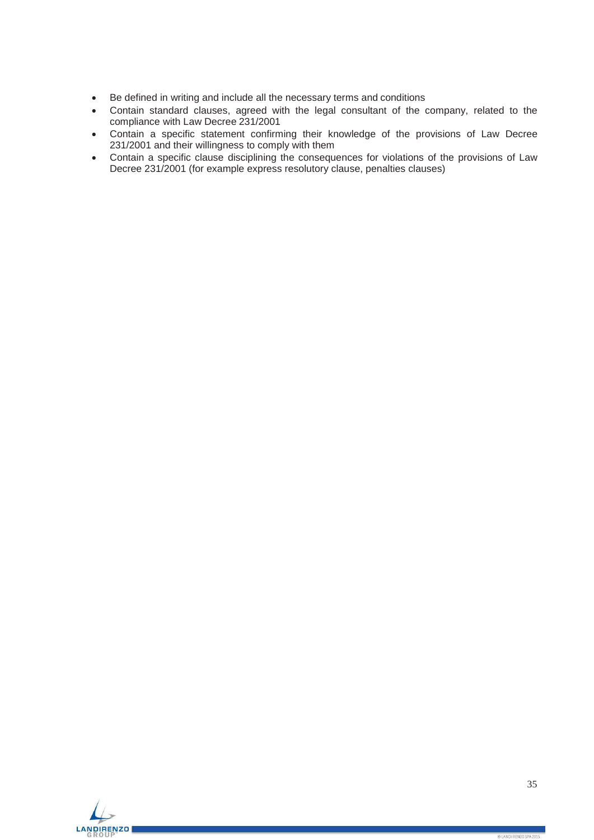- Be defined in writing and include all the necessary terms and conditions
- Contain standard clauses, agreed with the legal consultant of the company, related to the compliance with Law Decree 231/2001
- Contain a specific statement confirming their knowledge of the provisions of Law Decree 231/2001 and their willingness to comply with them
- Contain a specific clause disciplining the consequences for violations of the provisions of Law Decree 231/2001 (for example express resolutory clause, penalties clauses)

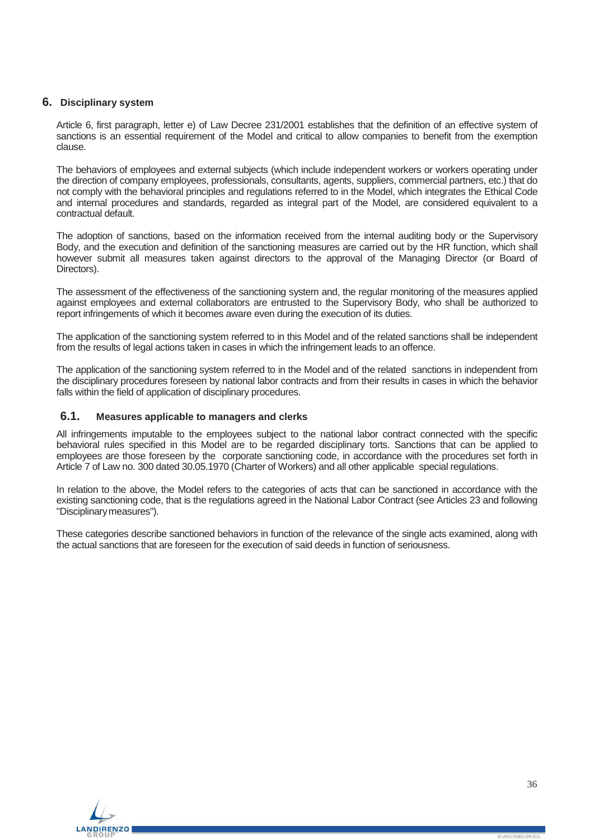## <span id="page-35-0"></span>**6. Disciplinary system**

Article 6, first paragraph, letter e) of Law Decree 231/2001 establishes that the definition of an effective system of sanctions is an essential requirement of the Model and critical to allow companies to benefit from the exemption clause.

The behaviors of employees and external subjects (which include independent workers or workers operating under the direction of company employees, professionals, consultants, agents, suppliers, commercial partners, etc.) that do not comply with the behavioral principles and regulations referred to in the Model, which integrates the Ethical Code and internal procedures and standards, regarded as integral part of the Model, are considered equivalent to a contractual default.

The adoption of sanctions, based on the information received from the internal auditing body or the Supervisory Body, and the execution and definition of the sanctioning measures are carried out by the HR function, which shall however submit all measures taken against directors to the approval of the Managing Director (or Board of Directors).

The assessment of the effectiveness of the sanctioning system and, the regular monitoring of the measures applied against employees and external collaborators are entrusted to the Supervisory Body, who shall be authorized to report infringements of which it becomes aware even during the execution of its duties.

The application of the sanctioning system referred to in this Model and of the related sanctions shall be independent from the results of legal actions taken in cases in which the infringement leads to an offence.

The application of the sanctioning system referred to in the Model and of the related sanctions in independent from the disciplinary procedures foreseen by national labor contracts and from their results in cases in which the behavior falls within the field of application of disciplinary procedures.

### <span id="page-35-1"></span>**6.1. Measures applicable to managers and clerks**

All infringements imputable to the employees subject to the national labor contract connected with the specific behavioral rules specified in this Model are to be regarded disciplinary torts. Sanctions that can be applied to employees are those foreseen by the corporate sanctioning code, in accordance with the procedures set forth in Article 7 of Law no. 300 dated 30.05.1970 (Charter of Workers) and all other applicable special regulations.

In relation to the above, the Model refers to the categories of acts that can be sanctioned in accordance with the existing sanctioning code, that is the regulations agreed in the National Labor Contract (see Articles 23 and following "Disciplinarymeasures").

These categories describe sanctioned behaviors in function of the relevance of the single acts examined, along with the actual sanctions that are foreseen for the execution of said deeds in function of seriousness.

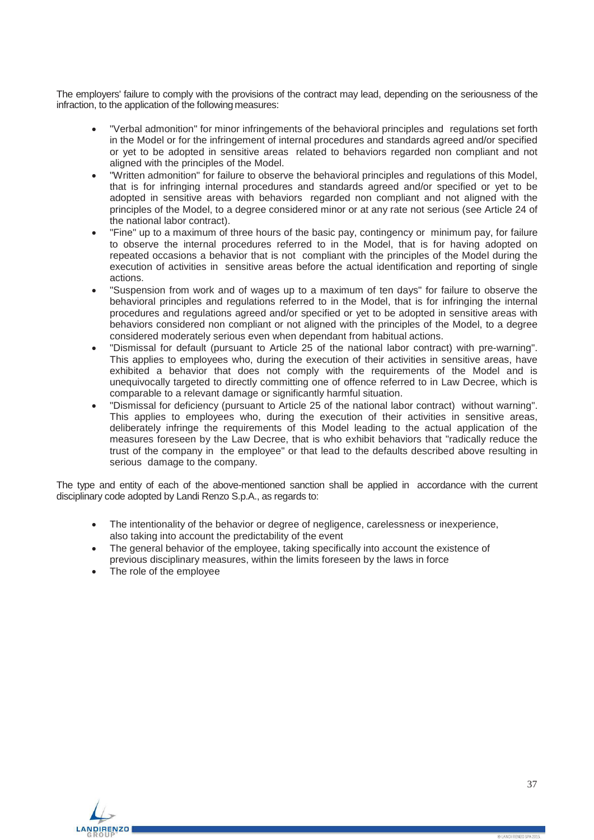The employers' failure to comply with the provisions of the contract may lead, depending on the seriousness of the infraction, to the application of the following measures:

- "Verbal admonition" for minor infringements of the behavioral principles and regulations set forth in the Model or for the infringement of internal procedures and standards agreed and/or specified or yet to be adopted in sensitive areas related to behaviors regarded non compliant and not aligned with the principles of the Model.
- "Written admonition" for failure to observe the behavioral principles and regulations of this Model, that is for infringing internal procedures and standards agreed and/or specified or yet to be adopted in sensitive areas with behaviors regarded non compliant and not aligned with the principles of the Model, to a degree considered minor or at any rate not serious (see Article 24 of the national labor contract).
- "Fine" up to a maximum of three hours of the basic pay, contingency or minimum pay, for failure to observe the internal procedures referred to in the Model, that is for having adopted on repeated occasions a behavior that is not compliant with the principles of the Model during the execution of activities in sensitive areas before the actual identification and reporting of single actions.
- "Suspension from work and of wages up to a maximum of ten days" for failure to observe the behavioral principles and regulations referred to in the Model, that is for infringing the internal procedures and regulations agreed and/or specified or yet to be adopted in sensitive areas with behaviors considered non compliant or not aligned with the principles of the Model, to a degree considered moderately serious even when dependant from habitual actions.
- "Dismissal for default (pursuant to Article 25 of the national labor contract) with pre-warning". This applies to employees who, during the execution of their activities in sensitive areas, have exhibited a behavior that does not comply with the requirements of the Model and is unequivocally targeted to directly committing one of offence referred to in Law Decree, which is comparable to a relevant damage or significantly harmful situation.
- "Dismissal for deficiency (pursuant to Article 25 of the national labor contract) without warning". This applies to employees who, during the execution of their activities in sensitive areas, deliberately infringe the requirements of this Model leading to the actual application of the measures foreseen by the Law Decree, that is who exhibit behaviors that "radically reduce the trust of the company in the employee" or that lead to the defaults described above resulting in serious damage to the company.

The type and entity of each of the above-mentioned sanction shall be applied in accordance with the current disciplinary code adopted by Landi Renzo S.p.A., as regards to:

- The intentionality of the behavior or degree of negligence, carelessness or inexperience, also taking into account the predictability of the event
- The general behavior of the employee, taking specifically into account the existence of previous disciplinary measures, within the limits foreseen by the laws in force
- The role of the employee

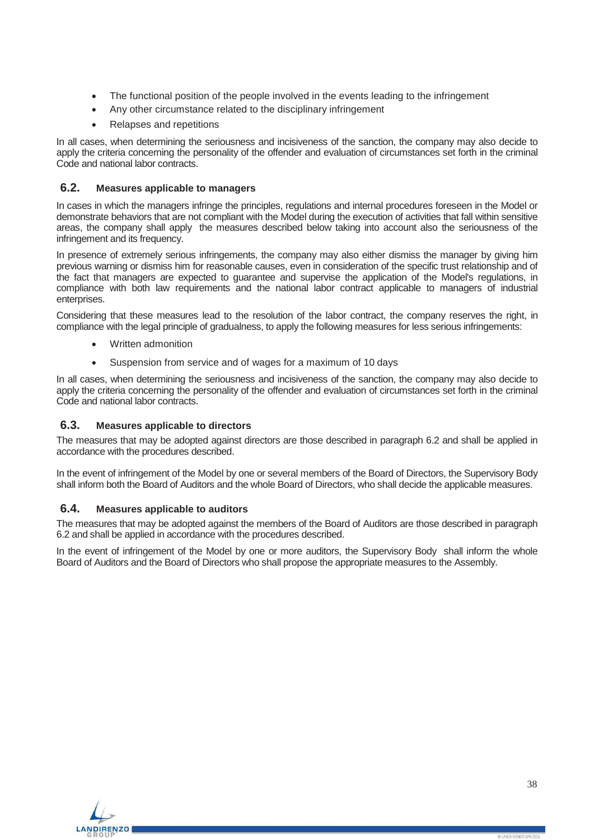- The functional position of the people involved in the events leading to the infringement
- Any other circumstance related to the disciplinary infringement
- Relapses and repetitions

In all cases, when determining the seriousness and incisiveness of the sanction, the company may also decide to apply the criteria concerning the personality of the offender and evaluation of circumstances set forth in the criminal Code and national labor contracts.

## <span id="page-37-0"></span>**6.2. Measures applicable to managers**

In cases in which the managers infringe the principles, regulations and internal procedures foreseen in the Model or demonstrate behaviors that are not compliant with the Model during the execution of activities that fall within sensitive areas, the company shall apply the measures described below taking into account also the seriousness of the infringement and its frequency.

In presence of extremely serious infringements, the company may also either dismiss the manager by giving him previous warning or dismiss him for reasonable causes, even in consideration of the specific trust relationship and of the fact that managers are expected to guarantee and supervise the application of the Model's regulations, in compliance with both law requirements and the national labor contract applicable to managers of industrial enterprises.

Considering that these measures lead to the resolution of the labor contract, the company reserves the right, in compliance with the legal principle of gradualness, to apply the following measures for less serious infringements:

- Written admonition
- Suspension from service and of wages for a maximum of 10 days

In all cases, when determining the seriousness and incisiveness of the sanction, the company may also decide to apply the criteria concerning the personality of the offender and evaluation of circumstances set forth in the criminal Code and national labor contracts.

## <span id="page-37-1"></span>**6.3. Measures applicable to directors**

The measures that may be adopted against directors are those described in paragraph 6.2 and shall be applied in accordance with the procedures described.

<span id="page-37-2"></span>In the event of infringement of the Model by one or several members of the Board of Directors, the Supervisory Body shall inform both the Board of Auditors and the whole Board of Directors, who shall decide the applicable measures.

#### **6.4. Measures applicable to auditors**

The measures that may be adopted against the members of the Board of Auditors are those described in paragraph 6.2 and shall be applied in accordance with the procedures described.

In the event of infringement of the Model by one or more auditors, the Supervisory Body shall inform the whole Board of Auditors and the Board of Directors who shall propose the appropriate measures to the Assembly.

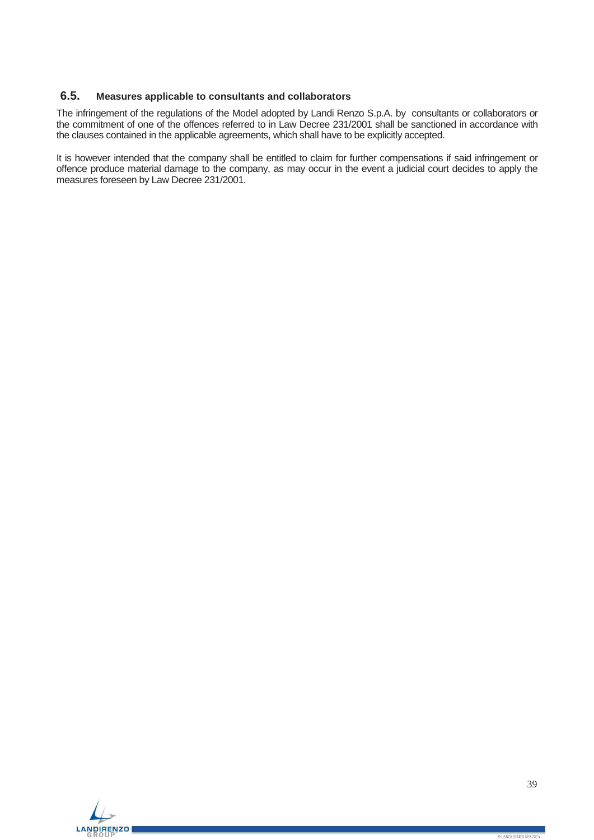# <span id="page-38-0"></span>**6.5. Measures applicable to consultants and collaborators**

The infringement of the regulations of the Model adopted by Landi Renzo S.p.A. by consultants or collaborators or the commitment of one of the offences referred to in Law Decree 231/2001 shall be sanctioned in accordance with the clauses contained in the applicable agreements, which shall have to be explicitly accepted.

It is however intended that the company shall be entitled to claim for further compensations if said infringement or offence produce material damage to the company, as may occur in the event a judicial court decides to apply the measures foreseen by Law Decree 231/2001.